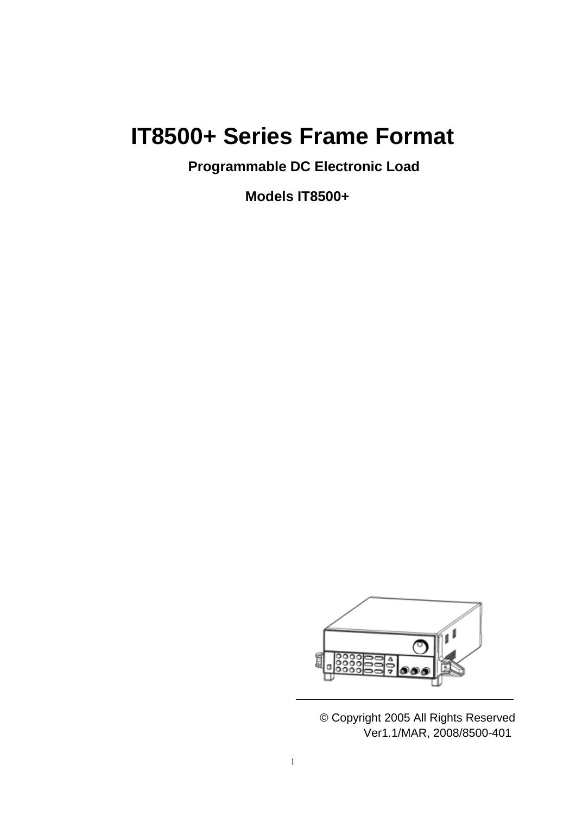# **IT8500+ Series Frame Format**

**Programmable DC Electronic Load**

**Models IT8500+**



© Copyright 2005 All Rights Reserved Ver1.1/MAR, 2008/8500-401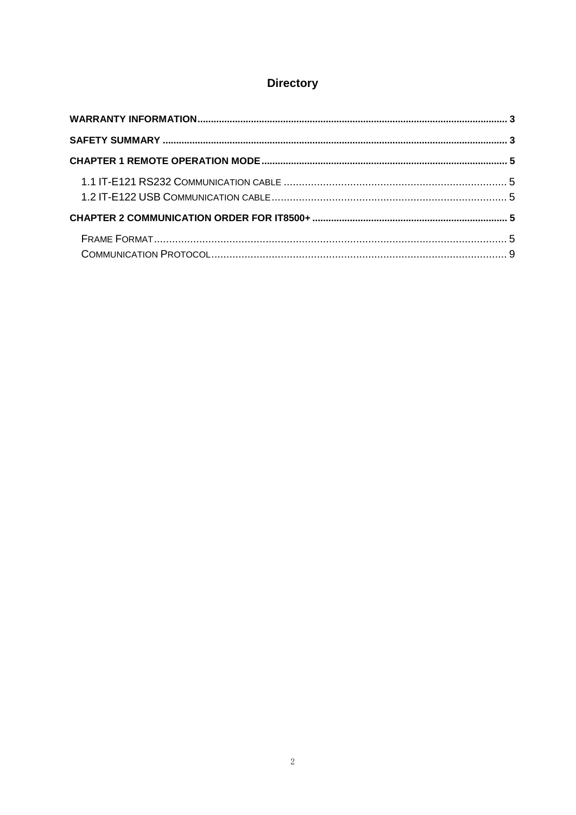## **Directory**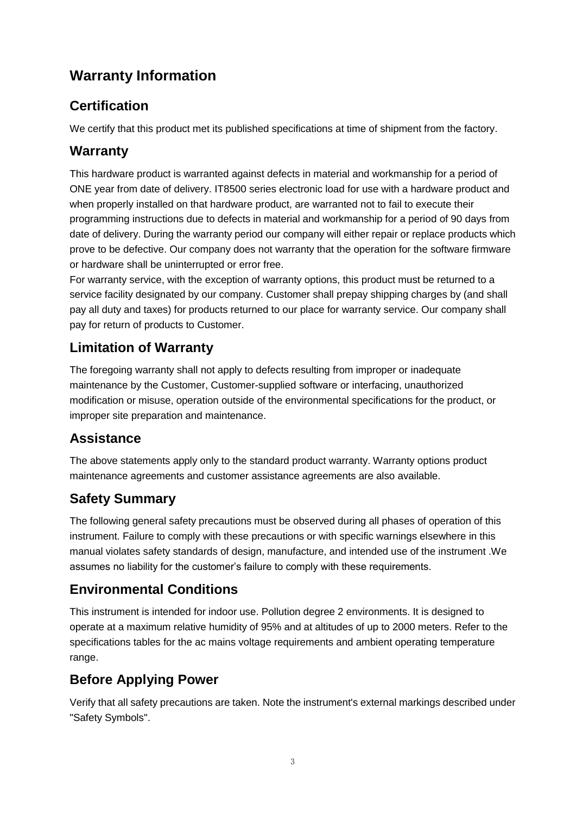## <span id="page-2-0"></span>**Warranty Information**

## **Certification**

We certify that this product met its published specifications at time of shipment from the factory.

## **Warranty**

This hardware product is warranted against defects in material and workmanship for a period of ONE year from date of delivery. IT8500 series electronic load for use with a hardware product and when properly installed on that hardware product, are warranted not to fail to execute their programming instructions due to defects in material and workmanship for a period of 90 days from date of delivery. During the warranty period our company will either repair or replace products which prove to be defective. Our company does not warranty that the operation for the software firmware or hardware shall be uninterrupted or error free.

For warranty service, with the exception of warranty options, this product must be returned to a service facility designated by our company. Customer shall prepay shipping charges by (and shall pay all duty and taxes) for products returned to our place for warranty service. Our company shall pay for return of products to Customer.

## **Limitation of Warranty**

The foregoing warranty shall not apply to defects resulting from improper or inadequate maintenance by the Customer, Customer-supplied software or interfacing, unauthorized modification or misuse, operation outside of the environmental specifications for the product, or improper site preparation and maintenance.

## **Assistance**

The above statements apply only to the standard product warranty. Warranty options product maintenance agreements and customer assistance agreements are also available.

## <span id="page-2-1"></span>**Safety Summary**

The following general safety precautions must be observed during all phases of operation of this instrument. Failure to comply with these precautions or with specific warnings elsewhere in this manual violates safety standards of design, manufacture, and intended use of the instrument .We assumes no liability for the customer's failure to comply with these requirements.

## **Environmental Conditions**

This instrument is intended for indoor use. Pollution degree 2 environments. It is designed to operate at a maximum relative humidity of 95% and at altitudes of up to 2000 meters. Refer to the specifications tables for the ac mains voltage requirements and ambient operating temperature range.

## **Before Applying Power**

Verify that all safety precautions are taken. Note the instrument's external markings described under "Safety Symbols".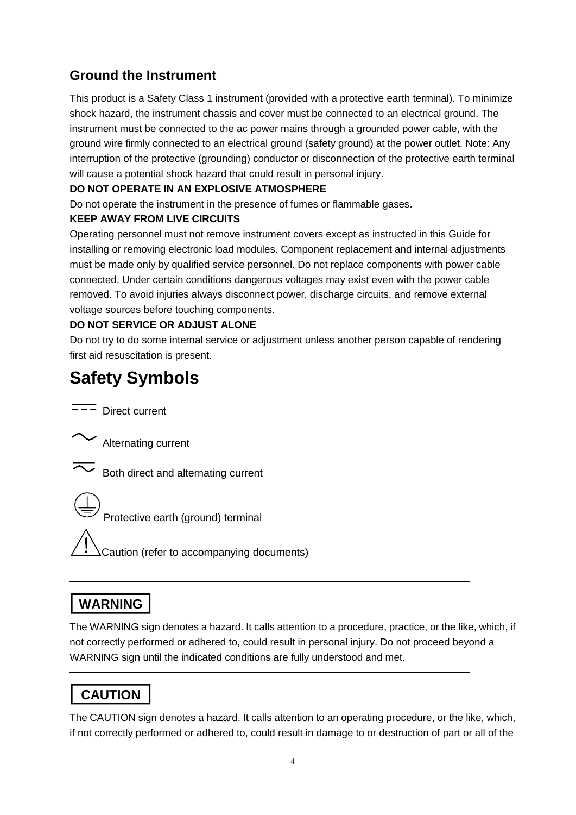## **Ground the Instrument**

This product is a Safety Class 1 instrument (provided with a protective earth terminal). To minimize shock hazard, the instrument chassis and cover must be connected to an electrical ground. The instrument must be connected to the ac power mains through a grounded power cable, with the ground wire firmly connected to an electrical ground (safety ground) at the power outlet. Note: Any interruption of the protective (grounding) conductor or disconnection of the protective earth terminal will cause a potential shock hazard that could result in personal injury.

#### **DO NOT OPERATE IN AN EXPLOSIVE ATMOSPHERE**

Do not operate the instrument in the presence of fumes or flammable gases.

#### **KEEP AWAY FROM LIVE CIRCUITS**

Operating personnel must not remove instrument covers except as instructed in this Guide for installing or removing electronic load modules. Component replacement and internal adjustments must be made only by qualified service personnel. Do not replace components with power cable connected. Under certain conditions dangerous voltages may exist even with the power cable removed. To avoid injuries always disconnect power, discharge circuits, and remove external voltage sources before touching components.

#### **DO NOT SERVICE OR ADJUST ALONE**

Do not try to do some internal service or adjustment unless another person capable of rendering first aid resuscitation is present.

# **Safety Symbols**

 $\overline{\mathsf{---}}$  Direct current

Alternating current

Both direct and alternating current

Protective earth (ground) terminal

Caution (refer to accompanying documents)

## **WARNING**

The WARNING sign denotes a hazard. It calls attention to a procedure, practice, or the like, which, if not correctly performed or adhered to, could result in personal injury. Do not proceed beyond a WARNING sign until the indicated conditions are fully understood and met.

## **CAUTION**

The CAUTION sign denotes a hazard. It calls attention to an operating procedure, or the like, which, if not correctly performed or adhered to, could result in damage to or destruction of part or all of the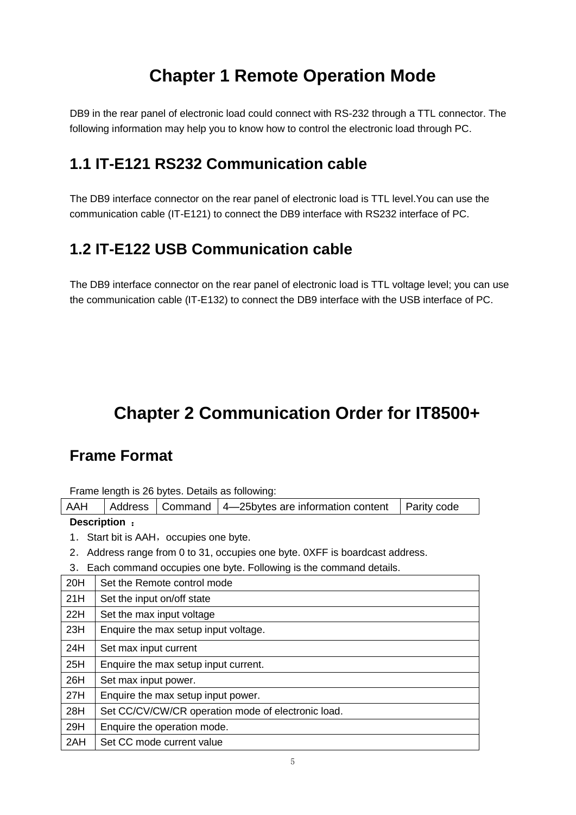## **Chapter 1 Remote Operation Mode**

<span id="page-4-0"></span>DB9 in the rear panel of electronic load could connect with RS-232 through a TTL connector. The following information may help you to know how to control the electronic load through PC.

## <span id="page-4-1"></span>**1.1 IT-E121 RS232 Communication cable**

The DB9 interface connector on the rear panel of electronic load is TTL level.You can use the communication cable (IT-E121) to connect the DB9 interface with RS232 interface of PC.

## <span id="page-4-2"></span>**1.2 IT-E122 USB Communication cable**

The DB9 interface connector on the rear panel of electronic load is TTL voltage level; you can use the communication cable (IT-E132) to connect the DB9 interface with the USB interface of PC.

# <span id="page-4-3"></span>**Chapter 2 Communication Order for IT8500+**

## <span id="page-4-4"></span>**Frame Format**

Frame length is 26 bytes. Details as following:

| AAH |  |  | Address   Command   4-25 bytes are information content   Parity code |  |
|-----|--|--|----------------------------------------------------------------------|--|
|-----|--|--|----------------------------------------------------------------------|--|

#### **Description** :

- 1. Start bit is AAH, occupies one byte.
- 2.Address range from 0 to 31, occupies one byte. 0XFF is boardcast address.
- 3.Each command occupies one byte. Following is the command details.

| 20H | Set the Remote control mode                        |
|-----|----------------------------------------------------|
| 21H | Set the input on/off state                         |
| 22H | Set the max input voltage                          |
| 23H | Enquire the max setup input voltage.               |
| 24H | Set max input current                              |
| 25H | Enquire the max setup input current.               |
| 26H | Set max input power.                               |
| 27H | Enquire the max setup input power.                 |
| 28H | Set CC/CV/CW/CR operation mode of electronic load. |
| 29H | Enquire the operation mode.                        |
| 2AH | Set CC mode current value                          |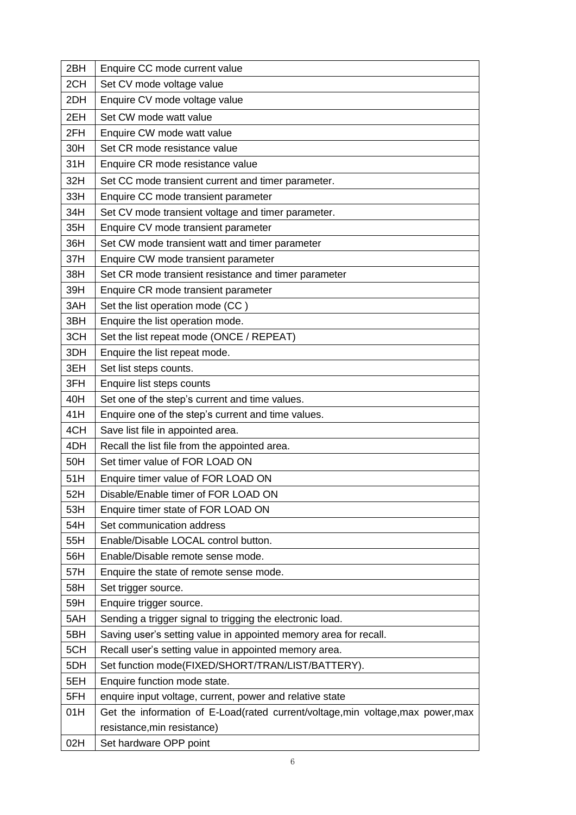| 2BH | Enquire CC mode current value                                                    |
|-----|----------------------------------------------------------------------------------|
| 2CH | Set CV mode voltage value                                                        |
| 2DH | Enquire CV mode voltage value                                                    |
| 2EH | Set CW mode watt value                                                           |
| 2FH | Enquire CW mode watt value                                                       |
| 30H | Set CR mode resistance value                                                     |
| 31H | Enquire CR mode resistance value                                                 |
| 32H | Set CC mode transient current and timer parameter.                               |
| 33H | Enquire CC mode transient parameter                                              |
| 34H | Set CV mode transient voltage and timer parameter.                               |
| 35H | Enquire CV mode transient parameter                                              |
| 36H | Set CW mode transient watt and timer parameter                                   |
| 37H | Enquire CW mode transient parameter                                              |
| 38H | Set CR mode transient resistance and timer parameter                             |
| 39H | Enquire CR mode transient parameter                                              |
| 3AH | Set the list operation mode (CC)                                                 |
| 3BH | Enquire the list operation mode.                                                 |
| 3CH | Set the list repeat mode (ONCE / REPEAT)                                         |
| 3DH | Enquire the list repeat mode.                                                    |
| 3EH | Set list steps counts.                                                           |
| 3FH | Enquire list steps counts                                                        |
| 40H | Set one of the step's current and time values.                                   |
| 41H | Enquire one of the step's current and time values.                               |
| 4CH | Save list file in appointed area.                                                |
| 4DH | Recall the list file from the appointed area.                                    |
| 50H | Set timer value of FOR LOAD ON                                                   |
| 51H | Enquire timer value of FOR LOAD ON                                               |
| 52H | Disable/Enable timer of FOR LOAD ON                                              |
| 53H | Enquire timer state of FOR LOAD ON                                               |
| 54H | Set communication address                                                        |
| 55H | Enable/Disable LOCAL control button.                                             |
| 56H | Enable/Disable remote sense mode.                                                |
| 57H | Enquire the state of remote sense mode.                                          |
| 58H | Set trigger source.                                                              |
| 59H | Enquire trigger source.                                                          |
| 5AH | Sending a trigger signal to trigging the electronic load.                        |
| 5BH | Saving user's setting value in appointed memory area for recall.                 |
| 5CH | Recall user's setting value in appointed memory area.                            |
| 5DH | Set function mode(FIXED/SHORT/TRAN/LIST/BATTERY).                                |
| 5EH | Enquire function mode state.                                                     |
| 5FH | enquire input voltage, current, power and relative state                         |
| 01H | Get the information of E-Load(rated current/voltage, min voltage, max power, max |
|     | resistance, min resistance)                                                      |
| 02H | Set hardware OPP point                                                           |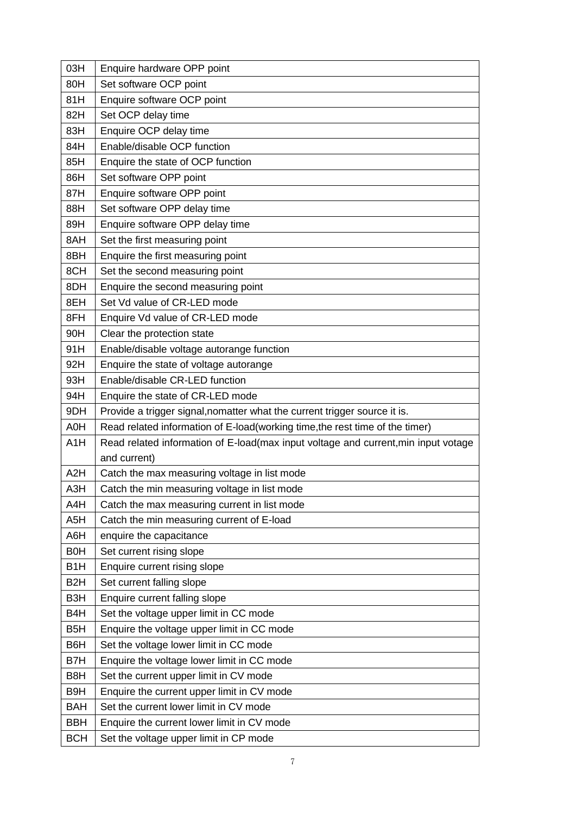| 03H              | Enquire hardware OPP point                                                         |
|------------------|------------------------------------------------------------------------------------|
| 80H              | Set software OCP point                                                             |
| 81H              | Enquire software OCP point                                                         |
| 82H              | Set OCP delay time                                                                 |
| 83H              | Enquire OCP delay time                                                             |
| 84H              | Enable/disable OCP function                                                        |
| 85H              | Enquire the state of OCP function                                                  |
| 86H              | Set software OPP point                                                             |
| 87H              | Enquire software OPP point                                                         |
| 88H              | Set software OPP delay time                                                        |
| 89H              | Enquire software OPP delay time                                                    |
| 8AH              | Set the first measuring point                                                      |
| 8BH              | Enquire the first measuring point                                                  |
| 8CH              | Set the second measuring point                                                     |
| 8DH              | Enquire the second measuring point                                                 |
| 8EH              | Set Vd value of CR-LED mode                                                        |
| 8FH              | Enquire Vd value of CR-LED mode                                                    |
| 90H              | Clear the protection state                                                         |
| 91H              | Enable/disable voltage autorange function                                          |
| 92H              | Enquire the state of voltage autorange                                             |
| 93H              | Enable/disable CR-LED function                                                     |
| 94H              | Enquire the state of CR-LED mode                                                   |
| 9DH              | Provide a trigger signal, nomatter what the current trigger source it is.          |
| A0H              | Read related information of E-load(working time, the rest time of the timer)       |
| A1H              | Read related information of E-load(max input voltage and current, min input votage |
|                  | and current)                                                                       |
| A <sub>2</sub> H | Catch the max measuring voltage in list mode                                       |
| A3H              | Catch the min measuring voltage in list mode                                       |
| A4H              | Catch the max measuring current in list mode                                       |
| A <sub>5</sub> H | Catch the min measuring current of E-load                                          |
| A6H              | enquire the capacitance                                                            |
| <b>B0H</b>       | Set current rising slope                                                           |
| B <sub>1</sub> H | Enquire current rising slope                                                       |
| B <sub>2</sub> H | Set current falling slope                                                          |
| B <sub>3</sub> H | Enquire current falling slope                                                      |
| B <sub>4</sub> H | Set the voltage upper limit in CC mode                                             |
| B <sub>5</sub> H | Enquire the voltage upper limit in CC mode                                         |
| B6H              | Set the voltage lower limit in CC mode                                             |
|                  |                                                                                    |
| B7H              | Enquire the voltage lower limit in CC mode                                         |
| B <sub>8</sub> H | Set the current upper limit in CV mode                                             |
| B <sub>9</sub> H | Enquire the current upper limit in CV mode                                         |
| <b>BAH</b>       | Set the current lower limit in CV mode                                             |
| <b>BBH</b>       | Enquire the current lower limit in CV mode                                         |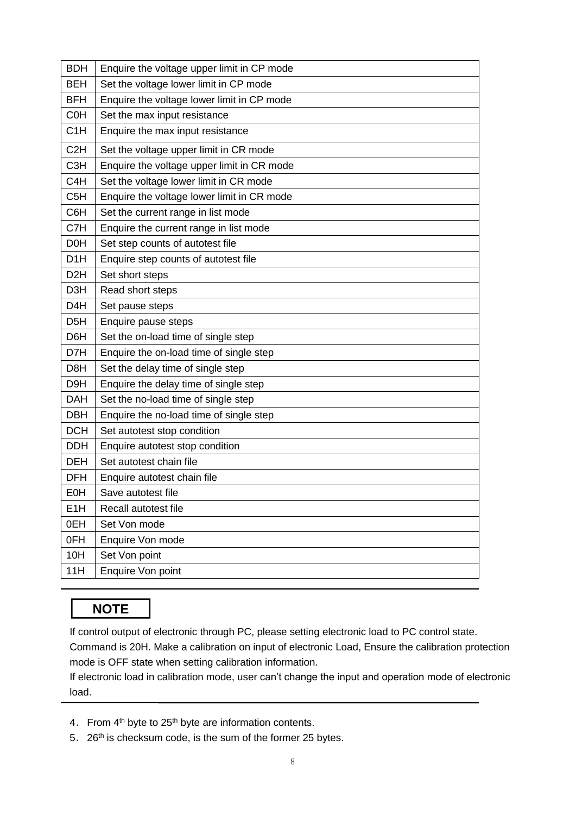| <b>BDH</b>       | Enquire the voltage upper limit in CP mode |
|------------------|--------------------------------------------|
| <b>BEH</b>       | Set the voltage lower limit in CP mode     |
| <b>BFH</b>       | Enquire the voltage lower limit in CP mode |
| <b>C0H</b>       | Set the max input resistance               |
| C <sub>1</sub> H | Enquire the max input resistance           |
| C <sub>2</sub> H | Set the voltage upper limit in CR mode     |
| C <sub>3</sub> H | Enquire the voltage upper limit in CR mode |
| C <sub>4</sub> H | Set the voltage lower limit in CR mode     |
| C <sub>5</sub> H | Enquire the voltage lower limit in CR mode |
| C6H              | Set the current range in list mode         |
| C7H              | Enquire the current range in list mode     |
| <b>D0H</b>       | Set step counts of autotest file           |
| D <sub>1</sub> H | Enquire step counts of autotest file       |
| D <sub>2</sub> H | Set short steps                            |
| D <sub>3</sub> H | Read short steps                           |
| D <sub>4</sub> H | Set pause steps                            |
| D <sub>5</sub> H | Enquire pause steps                        |
| D6H              | Set the on-load time of single step        |
| D7H              | Enquire the on-load time of single step    |
| D8H              | Set the delay time of single step          |
| D <sub>9H</sub>  | Enquire the delay time of single step      |
| <b>DAH</b>       | Set the no-load time of single step        |
| <b>DBH</b>       | Enquire the no-load time of single step    |
| <b>DCH</b>       | Set autotest stop condition                |
| <b>DDH</b>       | Enquire autotest stop condition            |
| <b>DEH</b>       | Set autotest chain file                    |
| <b>DFH</b>       | Enquire autotest chain file                |
| <b>E0H</b>       | Save autotest file                         |
| E <sub>1</sub> H | Recall autotest file                       |
| 0EH              | Set Von mode                               |
| 0FH              | Enquire Von mode                           |
| 10H              | Set Von point                              |
| 11H              | Enquire Von point                          |

## **NOTE**

If control output of electronic through PC, please setting electronic load to PC control state.

Command is 20H. Make a calibration on input of electronic Load, Ensure the calibration protection mode is OFF state when setting calibration information.

If electronic load in calibration mode, user can't change the input and operation mode of electronic load.

- 4. From  $4<sup>th</sup>$  byte to 25<sup>th</sup> byte are information contents.
- 5. 26<sup>th</sup> is checksum code, is the sum of the former 25 bytes.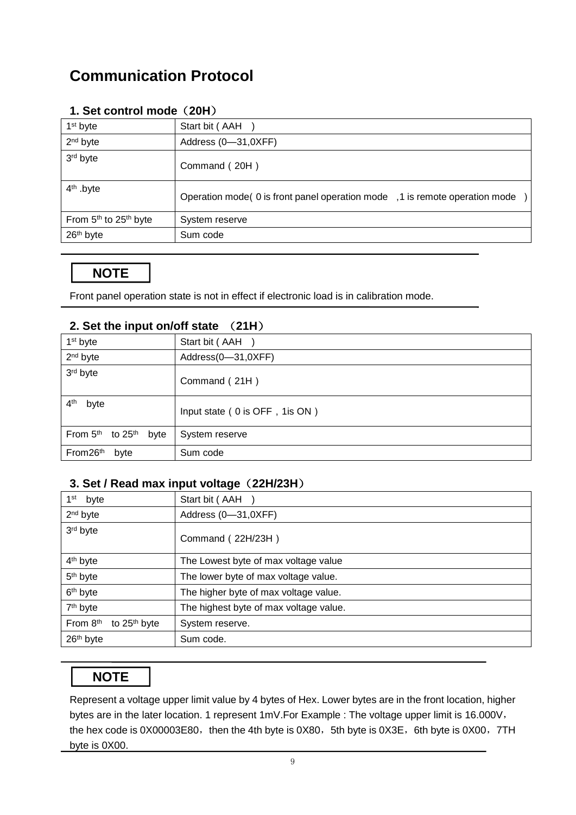## <span id="page-8-0"></span>**Communication Protocol**

| 1 <sup>st</sup> byte                          | Start bit (AAH                                                                 |
|-----------------------------------------------|--------------------------------------------------------------------------------|
| $2nd$ byte                                    | Address (0-31,0XFF)                                                            |
| 3rd byte                                      | Command (20H)                                                                  |
| $4th$ .byte                                   | Operation mode (0 is front panel operation mode ) 1 is remote operation mode ) |
| From 5 <sup>th</sup> to 25 <sup>th</sup> byte | System reserve                                                                 |
| 26 <sup>th</sup> byte                         | Sum code                                                                       |

#### **1. Set control mode**(**20H**)

## **NOTE**

Front panel operation state is not in effect if electronic load is in calibration mode.

| 1 <sup>st</sup> byte                    | Start bit (AAH                  |
|-----------------------------------------|---------------------------------|
| 2 <sup>nd</sup> byte                    | Address(0-31,0XFF)              |
| 3rd byte                                | Command (21H)                   |
| 4 <sup>th</sup><br>byte                 | Input state (0 is OFF, 1 is ON) |
| From $5th$ to $25th$<br>byte            | System reserve                  |
| From <sub>26<sup>th</sup></sub><br>byte | Sum code                        |

#### **2. Set the input on/off state** (**21H**)

#### **3. Set / Read max input voltage**(**22H/23H**)

| $1st$ byte                                       | Start bit (AAH                         |
|--------------------------------------------------|----------------------------------------|
| 2 <sup>nd</sup> byte                             | Address (0-31,0XFF)                    |
| 3rd byte                                         | Command (22H/23H)                      |
| 4 <sup>th</sup> byte                             | The Lowest byte of max voltage value   |
| 5 <sup>th</sup> byte                             | The lower byte of max voltage value.   |
| 6 <sup>th</sup> byte                             | The higher byte of max voltage value.  |
| 7 <sup>th</sup> byte                             | The highest byte of max voltage value. |
| From 8 <sup>th</sup><br>to 25 <sup>th</sup> byte | System reserve.                        |
| 26 <sup>th</sup> byte                            | Sum code.                              |

## **NOTE**

Represent a voltage upper limit value by 4 bytes of Hex. Lower bytes are in the front location, higher bytes are in the later location. 1 represent 1mV.For Example : The voltage upper limit is 16.000V, the hex code is 0X00003E80, then the 4th byte is 0X80, 5th byte is 0X3E, 6th byte is 0X00, 7TH byte is 0X00.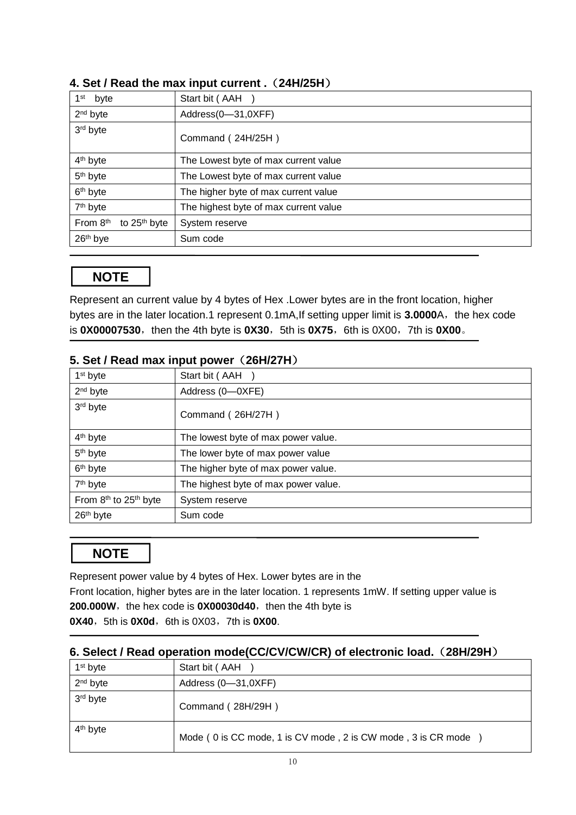| 1 <sup>st</sup><br>byte              | Start bit (AAH                        |
|--------------------------------------|---------------------------------------|
| $2nd$ byte                           | Address(0-31,0XFF)                    |
| 3 <sup>rd</sup> byte                 | Command (24H/25H)                     |
| 4 <sup>th</sup> byte                 | The Lowest byte of max current value  |
| 5 <sup>th</sup> byte                 | The Lowest byte of max current value  |
| 6 <sup>th</sup> byte                 | The higher byte of max current value  |
| 7 <sup>th</sup> byte                 | The highest byte of max current value |
| From 8th<br>to 25 <sup>th</sup> byte | System reserve                        |
| 26th bye                             | Sum code                              |

#### **4. Set / Read the max input current .**(**24H/25H**)

## **NOTE**

Represent an current value by 4 bytes of Hex .Lower bytes are in the front location, higher bytes are in the later location.1 represent 0.1mA, If setting upper limit is 3.0000A, the hex code is **0X00007530**, then the 4th byte is **0X30**, 5th is **0X75**, 6th is 0X00, 7th is **0X00**.

| 1 <sup>st</sup> byte                          | Start bit (AAH)                      |
|-----------------------------------------------|--------------------------------------|
| $2nd$ byte                                    | Address (0-OXFE)                     |
| 3 <sup>rd</sup> byte                          | Command (26H/27H)                    |
| 4 <sup>th</sup> byte                          | The lowest byte of max power value.  |
| 5 <sup>th</sup> byte                          | The lower byte of max power value    |
| 6 <sup>th</sup> byte                          | The higher byte of max power value.  |
| 7 <sup>th</sup> byte                          | The highest byte of max power value. |
| From 8 <sup>th</sup> to 25 <sup>th</sup> byte | System reserve                       |
| 26 <sup>th</sup> byte                         | Sum code                             |

#### **5. Set / Read max input power**(**26H/27H**)

## **NOTE**

Represent power value by 4 bytes of Hex. Lower bytes are in the

Front location, higher bytes are in the later location. 1 represents 1mW. If setting upper value is **200.000W**, the hex code is **0X00030d40**, then the 4th byte is **0X40**, 5th is **0X0d**, 6th is 0X03, 7th is **0X00**.

#### **6. Select / Read operation mode(CC/CV/CW/CR) of electronic load.**(**28H/29H**)

| 1 <sup>st</sup> byte | Start bit (AAH                                               |
|----------------------|--------------------------------------------------------------|
| 2 <sup>nd</sup> byte | Address (0-31,0XFF)                                          |
| 3 <sup>rd</sup> byte | Command (28H/29H)                                            |
| 4 <sup>th</sup> byte | Mode (0 is CC mode, 1 is CV mode, 2 is CW mode, 3 is CR mode |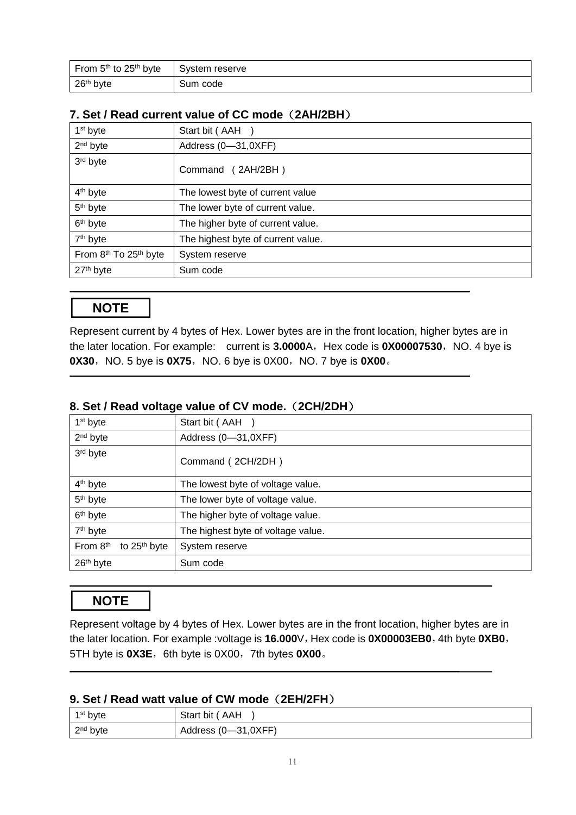| From 5 <sup>th</sup> to 25 <sup>th</sup> byte | System reserve |
|-----------------------------------------------|----------------|
| 26 <sup>th</sup> byte                         | Sum code       |

#### **7. Set / Read current value of CC mode**(**2AH/2BH**)

| 1 <sup>st</sup> byte                          | Start bit (AAH                     |
|-----------------------------------------------|------------------------------------|
| $2nd$ byte                                    | Address (0-31,0XFF)                |
| 3rd byte                                      | Command (2AH/2BH)                  |
| 4 <sup>th</sup> byte                          | The lowest byte of current value   |
| 5 <sup>th</sup> byte                          | The lower byte of current value.   |
| 6 <sup>th</sup> byte                          | The higher byte of current value.  |
| 7 <sup>th</sup> byte                          | The highest byte of current value. |
| From 8 <sup>th</sup> To 25 <sup>th</sup> byte | System reserve                     |
| 27 <sup>th</sup> byte                         | Sum code                           |

## **NOTE**

Represent current by 4 bytes of Hex. Lower bytes are in the front location, higher bytes are in the later location. For example: current is 3.0000A, Hex code is 0X00007530, NO. 4 bye is **0X30**, NO. 5 bye is **0X75**, NO. 6 bye is 0X00, NO. 7 bye is **0X00**.

#### **8. Set / Read voltage value of CV mode.**(**2CH/2DH**)

| 1 <sup>st</sup> byte                 | Start bit (AAH                     |
|--------------------------------------|------------------------------------|
| $2nd$ byte                           | Address (0-31,0XFF)                |
| 3rd byte                             | Command (2CH/2DH)                  |
| 4 <sup>th</sup> byte                 | The lowest byte of voltage value.  |
| 5 <sup>th</sup> byte                 | The lower byte of voltage value.   |
| 6 <sup>th</sup> byte                 | The higher byte of voltage value.  |
| 7 <sup>th</sup> byte                 | The highest byte of voltage value. |
| From 8th<br>to 25 <sup>th</sup> byte | System reserve                     |
| 26 <sup>th</sup> byte                | Sum code                           |

## **NOTE**

Represent voltage by 4 bytes of Hex. Lower bytes are in the front location, higher bytes are in the later location. For example :voltage is 16.000V, Hex code is 0X00003EB0, 4th byte 0XB0, 5TH byte is **0X3E**, 6th byte is 0X00, 7th bytes **0X00**.

#### **9. Set / Read watt value of CW mode**(**2EH/2FH**)

| $1st$ byte | Start bit (AAH      |
|------------|---------------------|
| $2nd$ byte | Address (0-31,0XFF) |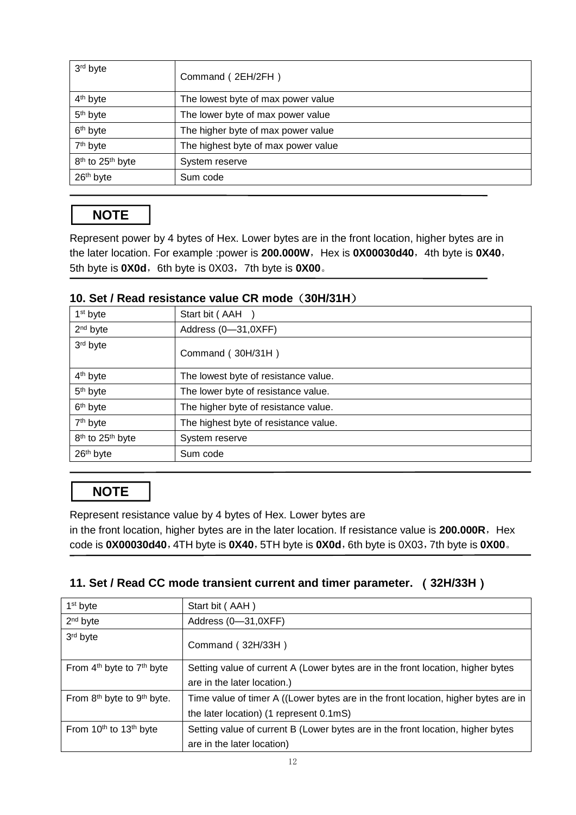| 3rd byte                                 | Command (2EH/2FH)                   |
|------------------------------------------|-------------------------------------|
| 4 <sup>th</sup> byte                     | The lowest byte of max power value  |
| 5 <sup>th</sup> byte                     | The lower byte of max power value   |
| 6 <sup>th</sup> byte                     | The higher byte of max power value  |
| 7 <sup>th</sup> byte                     | The highest byte of max power value |
| 8 <sup>th</sup> to 25 <sup>th</sup> byte | System reserve                      |
| 26 <sup>th</sup> byte                    | Sum code                            |

## **NOTE**

Represent power by 4 bytes of Hex. Lower bytes are in the front location, higher bytes are in the later location. For example :power is 200.000W, Hex is 0X00030d40, 4th byte is 0X40, 5th byte is **0X0d**, 6th byte is 0X03, 7th byte is 0X00.

#### **10. Set / Read resistance value CR mode**(**30H/31H**)

| 1 <sup>st</sup> byte                     | Start bit (AAH)                       |
|------------------------------------------|---------------------------------------|
| $2nd$ byte                               | Address (0-31,0XFF)                   |
| 3 <sup>rd</sup> byte                     | Command (30H/31H)                     |
| 4 <sup>th</sup> byte                     | The lowest byte of resistance value.  |
| 5 <sup>th</sup> byte                     | The lower byte of resistance value.   |
| 6 <sup>th</sup> byte                     | The higher byte of resistance value.  |
| 7 <sup>th</sup> byte                     | The highest byte of resistance value. |
| 8 <sup>th</sup> to 25 <sup>th</sup> byte | System reserve                        |
| 26 <sup>th</sup> byte                    | Sum code                              |

## **NOTE**

Represent resistance value by 4 bytes of Hex. Lower bytes are

in the front location, higher bytes are in the later location. If resistance value is 200.000R, Hex code is **0X00030d40**,4TH byte is **0X40**,5TH byte is **0X0d**,6th byte is 0X03,7th byte is **0X00**。

#### **11. Set / Read CC mode transient current and timer parameter.** (**32H/33H**)

| $1st$ byte                                         | Start bit (AAH)                                                                    |
|----------------------------------------------------|------------------------------------------------------------------------------------|
| $2nd$ byte                                         | Address (0-31,0XFF)                                                                |
| 3rd byte                                           | Command (32H/33H)                                                                  |
| From $4th$ byte to $7th$ byte                      | Setting value of current A (Lower bytes are in the front location, higher bytes    |
|                                                    | are in the later location.)                                                        |
| From 8 <sup>th</sup> byte to 9 <sup>th</sup> byte. | Time value of timer A ((Lower bytes are in the front location, higher bytes are in |
|                                                    | the later location) (1 represent 0.1mS)                                            |
| From 10 <sup>th</sup> to 13 <sup>th</sup> byte     | Setting value of current B (Lower bytes are in the front location, higher bytes    |
|                                                    | are in the later location)                                                         |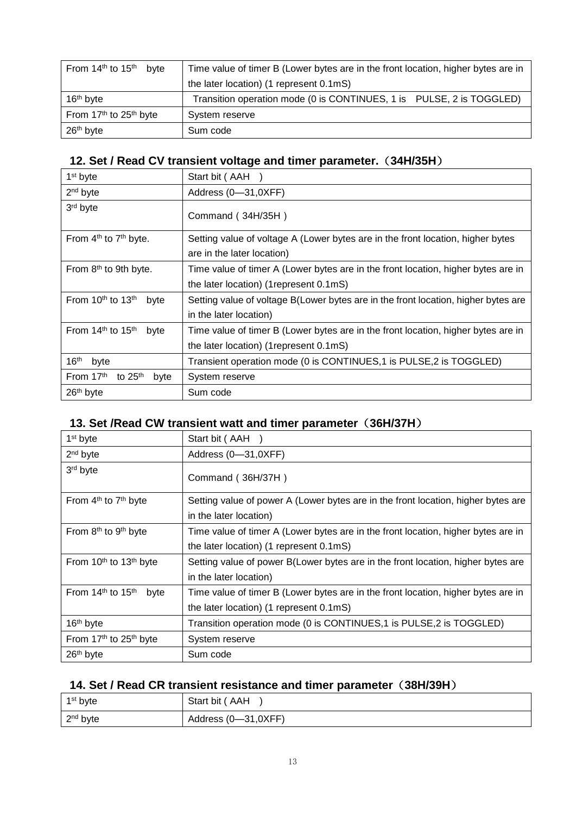| From 14 <sup>th</sup> to 15 <sup>th</sup> byte | Time value of timer B (Lower bytes are in the front location, higher bytes are in |
|------------------------------------------------|-----------------------------------------------------------------------------------|
|                                                | the later location) (1 represent 0.1mS)                                           |
| 16 <sup>th</sup> byte                          | Transition operation mode (0 is CONTINUES, 1 is PULSE, 2 is TOGGLED)              |
| From 17 <sup>th</sup> to 25 <sup>th</sup> byte | System reserve                                                                    |
| 26 <sup>th</sup> byte                          | Sum code                                                                          |

## **12. Set / Read CV transient voltage and timer parameter.**(**34H/35H**)

| 1 <sup>st</sup> byte                          | Start bit (AAH                                                                     |
|-----------------------------------------------|------------------------------------------------------------------------------------|
| $2nd$ byte                                    | Address (0-31,0XFF)                                                                |
| 3rd byte                                      | Command (34H/35H)                                                                  |
| From 4 <sup>th</sup> to 7 <sup>th</sup> byte. | Setting value of voltage A (Lower bytes are in the front location, higher bytes    |
|                                               | are in the later location)                                                         |
| From 8 <sup>th</sup> to 9th byte.             | Time value of timer A (Lower bytes are in the front location, higher bytes are in  |
|                                               | the later location) (1 represent 0.1 mS)                                           |
| From $10th$ to $13th$<br>byte                 | Setting value of voltage B(Lower bytes are in the front location, higher bytes are |
|                                               | in the later location)                                                             |
| From $14th$ to $15th$<br>byte                 | Time value of timer B (Lower bytes are in the front location, higher bytes are in  |
|                                               | the later location) (1 represent 0.1 mS)                                           |
| $16^{\text{th}}$<br>byte                      | Transient operation mode (0 is CONTINUES,1 is PULSE,2 is TOGGLED)                  |
| From 17 <sup>th</sup><br>to $25th$<br>byte    | System reserve                                                                     |
| 26 <sup>th</sup> byte                         | Sum code                                                                           |

## **13. Set /Read CW transient watt and timer parameter**(**36H/37H**)

| 1 <sup>st</sup> byte                              | Start bit (AAH                                                                    |
|---------------------------------------------------|-----------------------------------------------------------------------------------|
| 2 <sup>nd</sup> byte                              | Address (0-31,0XFF)                                                               |
| 3rd byte                                          | Command (36H/37H)                                                                 |
| From 4 <sup>th</sup> to 7 <sup>th</sup> byte      | Setting value of power A (Lower bytes are in the front location, higher bytes are |
|                                                   | in the later location)                                                            |
| From 8 <sup>th</sup> to 9 <sup>th</sup> byte      | Time value of timer A (Lower bytes are in the front location, higher bytes are in |
|                                                   | the later location) (1 represent 0.1mS)                                           |
| From 10 <sup>th</sup> to 13 <sup>th</sup> byte    | Setting value of power B(Lower bytes are in the front location, higher bytes are  |
|                                                   | in the later location)                                                            |
| From 14 <sup>th</sup> to 15 <sup>th</sup><br>byte | Time value of timer B (Lower bytes are in the front location, higher bytes are in |
|                                                   | the later location) (1 represent 0.1mS)                                           |
| 16 <sup>th</sup> byte                             | Transition operation mode (0 is CONTINUES,1 is PULSE,2 is TOGGLED)                |
| From 17 <sup>th</sup> to 25 <sup>th</sup> byte    | System reserve                                                                    |
| 26 <sup>th</sup> byte                             | Sum code                                                                          |

## **14. Set / Read CR transient resistance and timer parameter**(**38H/39H**)

| 1 <sup>st</sup> byte | Start bit (AAH      |
|----------------------|---------------------|
| 2 <sup>nd</sup> byte | Address (0-31,0XFF) |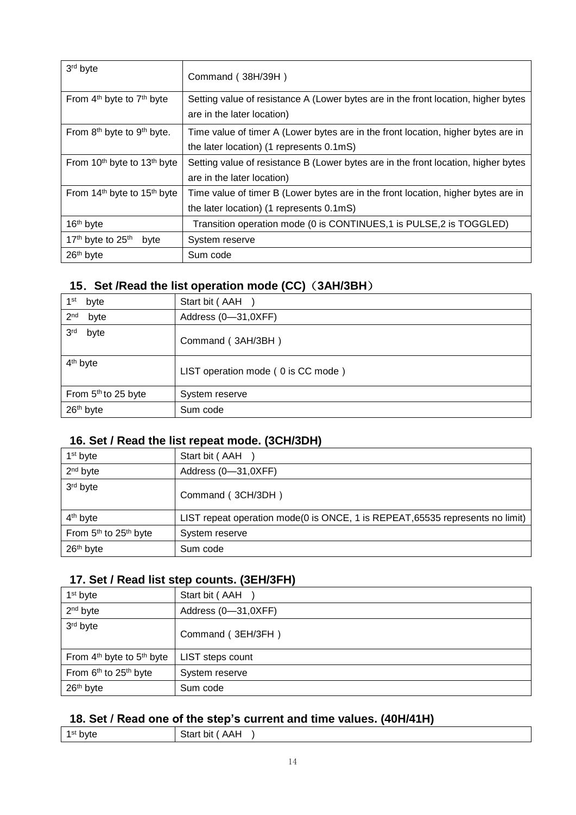| 3rd byte                                            | Command (38H/39H)                                                                                                |
|-----------------------------------------------------|------------------------------------------------------------------------------------------------------------------|
| From $4th$ byte to $7th$ byte                       | Setting value of resistance A (Lower bytes are in the front location, higher bytes<br>are in the later location) |
| From 8 <sup>th</sup> byte to 9 <sup>th</sup> byte.  | Time value of timer A (Lower bytes are in the front location, higher bytes are in                                |
|                                                     | the later location) (1 represents 0.1mS)                                                                         |
| From 10 <sup>th</sup> byte to 13 <sup>th</sup> byte | Setting value of resistance B (Lower bytes are in the front location, higher bytes                               |
|                                                     | are in the later location)                                                                                       |
| From 14 <sup>th</sup> byte to 15 <sup>th</sup> byte | Time value of timer B (Lower bytes are in the front location, higher bytes are in                                |
|                                                     | the later location) (1 represents 0.1mS)                                                                         |
| 16 <sup>th</sup> byte                               | Transition operation mode (0 is CONTINUES,1 is PULSE,2 is TOGGLED)                                               |
| 17th byte to 25th<br>byte                           | System reserve                                                                                                   |
| 26 <sup>th</sup> byte                               | Sum code                                                                                                         |

## **15**.**Set /Read the list operation mode (CC)**(**3AH/3BH**)

| 1 <sup>st</sup> byte            | Start bit (AAH                     |
|---------------------------------|------------------------------------|
| 2 <sub>nd</sub><br>byte         | Address (0-31,0XFF)                |
| 3 <sup>rd</sup><br>byte         | Command (3AH/3BH)                  |
| 4 <sup>th</sup> byte            | LIST operation mode (0 is CC mode) |
| From 5 <sup>th</sup> to 25 byte | System reserve                     |
| 26 <sup>th</sup> byte           | Sum code                           |

#### **16. Set / Read the list repeat mode. (3CH/3DH)**

| $1st$ byte                                    | Start bit (AAH                                                                |
|-----------------------------------------------|-------------------------------------------------------------------------------|
| $2nd$ byte                                    | Address (0-31,0XFF)                                                           |
| 3rd byte                                      | Command (3CH/3DH)                                                             |
| 4 <sup>th</sup> byte                          | LIST repeat operation mode(0 is ONCE, 1 is REPEAT, 65535 represents no limit) |
| From 5 <sup>th</sup> to 25 <sup>th</sup> byte | System reserve                                                                |
| 26 <sup>th</sup> byte                         | Sum code                                                                      |

## **17. Set / Read list step counts. (3EH/3FH)**

| $1st$ byte                                    | Start bit (AAH      |
|-----------------------------------------------|---------------------|
| 2 <sup>nd</sup> byte                          | Address (0-31,0XFF) |
| 3rd byte                                      | Command (3EH/3FH)   |
| From $4th$ byte to $5th$ byte                 | LIST steps count    |
| From 6 <sup>th</sup> to 25 <sup>th</sup> byte | System reserve      |
| 26 <sup>th</sup> byte                         | Sum code            |

### **18. Set / Read one of the step's current and time values. (40H/41H)**

| 1st<br>pyte | $\mathbf{r}$<br>hit<br>. AAF<br><br>_____ |  |
|-------------|-------------------------------------------|--|
|             |                                           |  |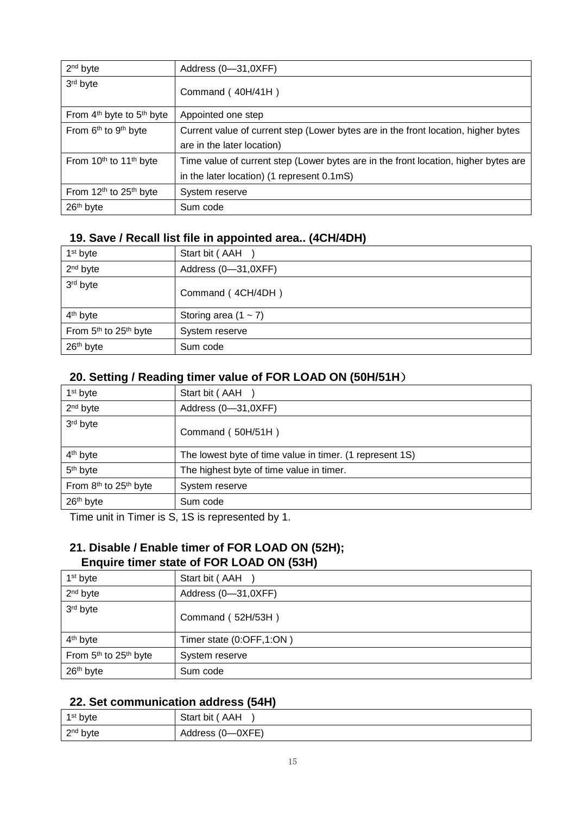| 2 <sup>nd</sup> byte                           | Address (0-31,0XFF)                                                                 |
|------------------------------------------------|-------------------------------------------------------------------------------------|
| 3rd byte                                       | Command (40H/41H)                                                                   |
| From $4th$ byte to $5th$ byte                  | Appointed one step                                                                  |
| From 6 <sup>th</sup> to 9 <sup>th</sup> byte   | Current value of current step (Lower bytes are in the front location, higher bytes  |
|                                                | are in the later location)                                                          |
| From 10 <sup>th</sup> to 11 <sup>th</sup> byte | Time value of current step (Lower bytes are in the front location, higher bytes are |
|                                                | in the later location) (1 represent 0.1mS)                                          |
| From 12 <sup>th</sup> to 25 <sup>th</sup> byte | System reserve                                                                      |
| 26 <sup>th</sup> byte                          | Sum code                                                                            |

#### **19. Save / Recall list file in appointed area.. (4CH/4DH)**

| $1st$ byte                                    | Start bit (AAH         |
|-----------------------------------------------|------------------------|
| 2 <sup>nd</sup> byte                          | Address (0-31,0XFF)    |
| 3rd byte                                      | Command (4CH/4DH)      |
| 4 <sup>th</sup> byte                          | Storing area $(1 - 7)$ |
| From 5 <sup>th</sup> to 25 <sup>th</sup> byte | System reserve         |
| 26 <sup>th</sup> byte                         | Sum code               |

#### **20. Setting / Reading timer value of FOR LOAD ON (50H/51H**)

| 1 <sup>st</sup> byte                          | Start bit (AAH                                           |
|-----------------------------------------------|----------------------------------------------------------|
| 2 <sup>nd</sup> byte                          | Address (0-31,0XFF)                                      |
| 3rd byte                                      | Command (50H/51H)                                        |
| 4 <sup>th</sup> byte                          | The lowest byte of time value in timer. (1 represent 1S) |
| 5 <sup>th</sup> byte                          | The highest byte of time value in timer.                 |
| From 8 <sup>th</sup> to 25 <sup>th</sup> byte | System reserve                                           |
| 26 <sup>th</sup> byte                         | Sum code                                                 |

Time unit in Timer is S, 1S is represented by 1.

### **21. Disable / Enable timer of FOR LOAD ON (52H); Enquire timer state of FOR LOAD ON (53H)**

| 1 <sup>st</sup> byte                          | Start bit (AAH           |
|-----------------------------------------------|--------------------------|
| $2nd$ byte                                    | Address (0-31,0XFF)      |
| 3rd byte                                      | Command (52H/53H)        |
| 4 <sup>th</sup> byte                          | Timer state (0:OFF,1:ON) |
| From 5 <sup>th</sup> to 25 <sup>th</sup> byte | System reserve           |
| 26 <sup>th</sup> byte                         | Sum code                 |

#### **22. Set communication address (54H)**

| 1 <sup>st</sup> byte | Start bit (AAH   |
|----------------------|------------------|
| 2 <sup>nd</sup> byte | Address (0-0XFE) |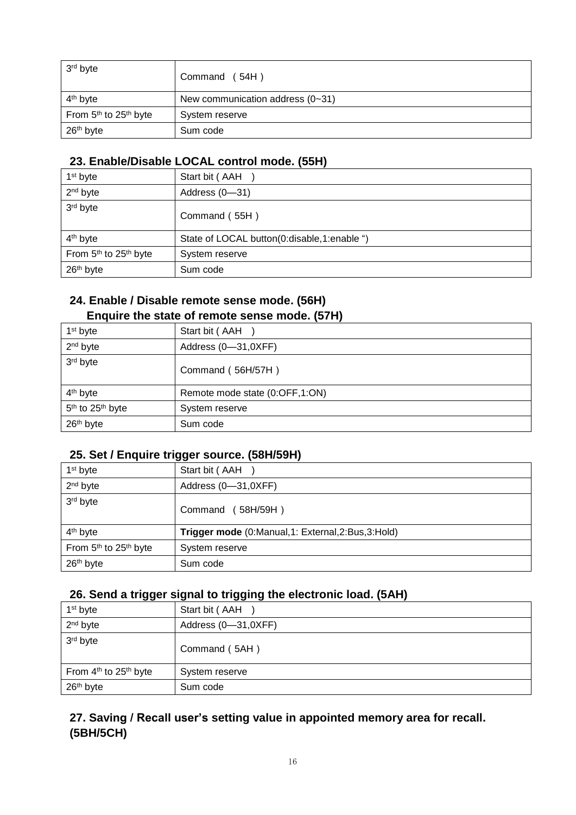| 3 <sup>rd</sup> byte                          | Command (54H)                      |
|-----------------------------------------------|------------------------------------|
| 4 <sup>th</sup> byte                          | New communication address $(0-31)$ |
| From 5 <sup>th</sup> to 25 <sup>th</sup> byte | System reserve                     |
| 26 <sup>th</sup> byte                         | Sum code                           |

#### **23. Enable/Disable LOCAL control mode. (55H)**

| $1st$ byte                                    | Start bit (AAH                              |
|-----------------------------------------------|---------------------------------------------|
| 2 <sup>nd</sup> byte                          | Address (0-31)                              |
| 3rd byte                                      | Command (55H)                               |
| 4 <sup>th</sup> byte                          | State of LOCAL button(0:disable,1:enable ") |
| From 5 <sup>th</sup> to 25 <sup>th</sup> byte | System reserve                              |
| 26 <sup>th</sup> byte                         | Sum code                                    |

#### **24. Enable / Disable remote sense mode. (56H) Enquire the state of remote sense mode. (57H)**

| 1 <sup>st</sup> byte                     | Start bit (AAH                 |
|------------------------------------------|--------------------------------|
| $2nd$ byte                               | Address (0-31,0XFF)            |
| 3rd byte                                 | Command (56H/57H)              |
| 4 <sup>th</sup> byte                     | Remote mode state (0:OFF,1:ON) |
| 5 <sup>th</sup> to 25 <sup>th</sup> byte | System reserve                 |
| 26 <sup>th</sup> byte                    | Sum code                       |

#### **25. Set / Enquire trigger source. (58H/59H)**

| $1st$ byte                                    | Start bit (AAH                                      |
|-----------------------------------------------|-----------------------------------------------------|
| $2nd$ byte                                    | Address (0-31,0XFF)                                 |
| 3rd byte                                      | Command (58H/59H)                                   |
| 4 <sup>th</sup> byte                          | Trigger mode (0:Manual, 1: External, 2:Bus, 3:Hold) |
| From 5 <sup>th</sup> to 25 <sup>th</sup> byte | System reserve                                      |
| 26 <sup>th</sup> byte                         | Sum code                                            |

#### **26. Send a trigger signal to trigging the electronic load. (5AH)**

| 1 <sup>st</sup> byte                          | Start bit (AAH      |
|-----------------------------------------------|---------------------|
| 2 <sup>nd</sup> byte                          | Address (0-31,0XFF) |
| 3rd byte                                      | Command (5AH)       |
| From 4 <sup>th</sup> to 25 <sup>th</sup> byte | System reserve      |
| 26 <sup>th</sup> byte                         | Sum code            |

### **27. Saving / Recall user's setting value in appointed memory area for recall. (5BH/5CH)**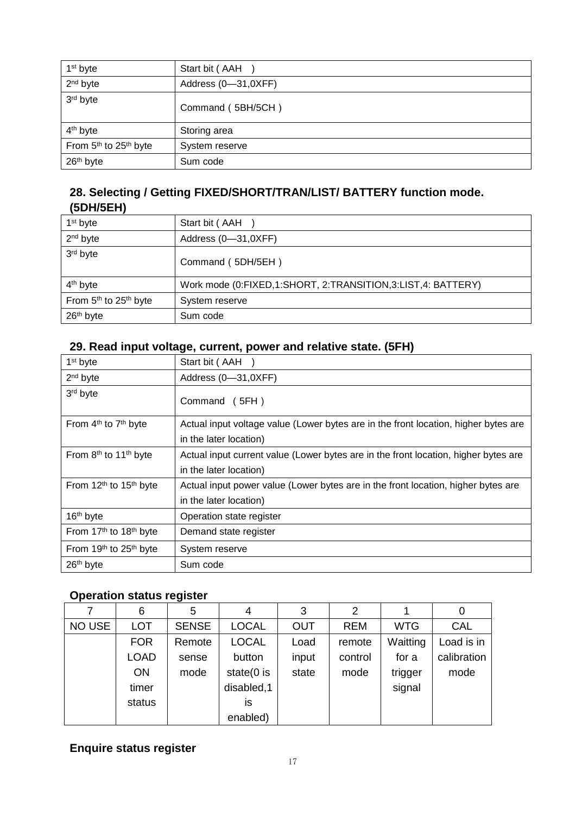| 1 <sup>st</sup> byte                          | Start bit (AAH      |
|-----------------------------------------------|---------------------|
| 2 <sup>nd</sup> byte                          | Address (0-31,0XFF) |
| 3rd byte                                      | Command (5BH/5CH)   |
| 4 <sup>th</sup> byte                          | Storing area        |
| From 5 <sup>th</sup> to 25 <sup>th</sup> byte | System reserve      |
| 26 <sup>th</sup> byte                         | Sum code            |

#### **28. Selecting / Getting FIXED/SHORT/TRAN/LIST/ BATTERY function mode. (5DH/5EH)**

| $1st$ byte                                    | Start bit (AAH                                              |
|-----------------------------------------------|-------------------------------------------------------------|
| 2 <sup>nd</sup> byte                          | Address (0-31,0XFF)                                         |
| 3rd byte                                      | Command (5DH/5EH)                                           |
| 4 <sup>th</sup> byte                          | Work mode (0:FIXED,1:SHORT, 2:TRANSITION,3:LIST,4: BATTERY) |
| From 5 <sup>th</sup> to 25 <sup>th</sup> byte | System reserve                                              |
| 26 <sup>th</sup> byte                         | Sum code                                                    |

### **29. Read input voltage, current, power and relative state. (5FH)**

| 1 <sup>st</sup> byte                           | Start bit (AAH                                                                      |
|------------------------------------------------|-------------------------------------------------------------------------------------|
| $2nd$ byte                                     | Address (0-31,0XFF)                                                                 |
| 3rd byte                                       | Command (5FH)                                                                       |
| From 4 <sup>th</sup> to 7 <sup>th</sup> byte   | Actual input voltage value (Lower bytes are in the front location, higher bytes are |
|                                                | in the later location)                                                              |
| From 8 <sup>th</sup> to 11 <sup>th</sup> byte  | Actual input current value (Lower bytes are in the front location, higher bytes are |
|                                                | in the later location)                                                              |
| From 12 <sup>th</sup> to 15 <sup>th</sup> byte | Actual input power value (Lower bytes are in the front location, higher bytes are   |
|                                                | in the later location)                                                              |
| 16 <sup>th</sup> byte                          | Operation state register                                                            |
| From 17 <sup>th</sup> to 18 <sup>th</sup> byte | Demand state register                                                               |
| From 19 <sup>th</sup> to 25 <sup>th</sup> byte | System reserve                                                                      |
| 26 <sup>th</sup> byte                          | Sum code                                                                            |

#### **Operation status register**

|        | 6           | 5            | 4             | 3          | 2          |            | 0           |
|--------|-------------|--------------|---------------|------------|------------|------------|-------------|
| NO USE | <b>LOT</b>  | <b>SENSE</b> | <b>LOCAL</b>  | <b>OUT</b> | <b>REM</b> | <b>WTG</b> | <b>CAL</b>  |
|        | <b>FOR</b>  | Remote       | <b>LOCAL</b>  | Load       | remote     | Waitting   | Load is in  |
|        | <b>LOAD</b> | sense        | button        | input      | control    | for a      | calibration |
|        | <b>ON</b>   | mode         | state $(0$ is | state      | mode       | trigger    | mode        |
|        | timer       |              | disabled, 1   |            |            | signal     |             |
|        | status      |              | IS            |            |            |            |             |
|        |             |              | enabled)      |            |            |            |             |

## **Enquire status register**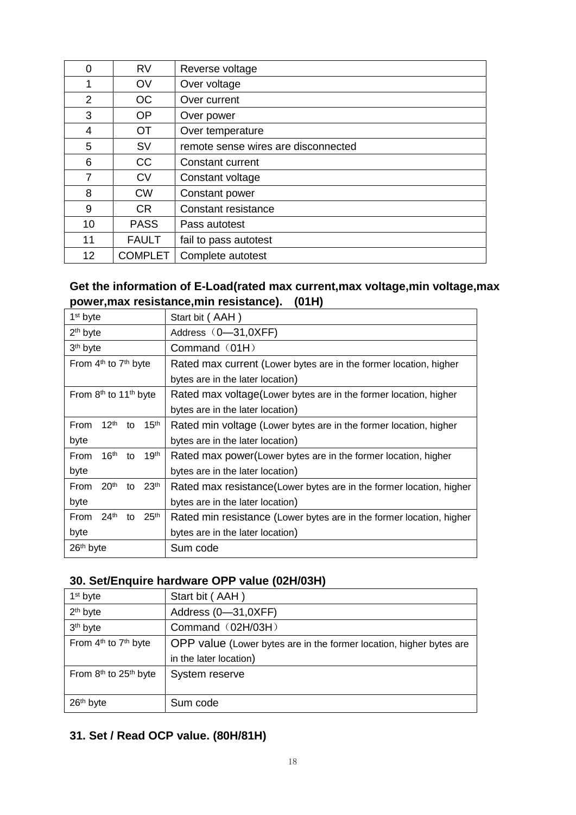| 0  | <b>RV</b>      | Reverse voltage                     |  |
|----|----------------|-------------------------------------|--|
| 1  | <b>OV</b>      | Over voltage                        |  |
| 2  | OC             | Over current                        |  |
| 3  | <b>OP</b>      | Over power                          |  |
| 4  | <b>OT</b>      | Over temperature                    |  |
| 5  | <b>SV</b>      | remote sense wires are disconnected |  |
| 6  | <b>CC</b>      | Constant current                    |  |
| 7  | <b>CV</b>      | Constant voltage                    |  |
| 8  | <b>CW</b>      | Constant power                      |  |
| 9  | <b>CR</b>      | Constant resistance                 |  |
| 10 | <b>PASS</b>    | Pass autotest                       |  |
| 11 | <b>FAULT</b>   | fail to pass autotest               |  |
| 12 | <b>COMPLET</b> | Complete autotest                   |  |

#### **Get the information of E-Load(rated max current,max voltage,min voltage,max power,max resistance,min resistance). (01H)**

| 1 <sup>st</sup> byte                               | Start bit (AAH)                                                      |  |  |  |
|----------------------------------------------------|----------------------------------------------------------------------|--|--|--|
| $2th$ byte                                         | Address (0-31,0XFF)                                                  |  |  |  |
| 3 <sup>th</sup> byte                               | Command (01H)                                                        |  |  |  |
| From 4 <sup>th</sup> to 7 <sup>th</sup> byte       | Rated max current (Lower bytes are in the former location, higher    |  |  |  |
|                                                    | bytes are in the later location)                                     |  |  |  |
| From $8th$ to 11 <sup>th</sup> byte                | Rated max voltage (Lower bytes are in the former location, higher    |  |  |  |
|                                                    | bytes are in the later location)                                     |  |  |  |
| 12 <sup>th</sup><br>From<br>15 <sup>th</sup><br>to | Rated min voltage (Lower bytes are in the former location, higher    |  |  |  |
| byte                                               | bytes are in the later location)                                     |  |  |  |
| 16 <sup>th</sup><br>From<br>19 <sup>th</sup><br>to | Rated max power (Lower bytes are in the former location, higher      |  |  |  |
| byte                                               | bytes are in the later location)                                     |  |  |  |
| 20 <sup>th</sup><br>to $23th$<br>From              | Rated max resistance (Lower bytes are in the former location, higher |  |  |  |
| byte                                               | bytes are in the later location)                                     |  |  |  |
| 24 <sup>th</sup><br>25 <sup>th</sup><br>From<br>to | Rated min resistance (Lower bytes are in the former location, higher |  |  |  |
| byte                                               | bytes are in the later location)                                     |  |  |  |
| 26th byte                                          | Sum code                                                             |  |  |  |

#### **30. Set/Enquire hardware OPP value (02H/03H)**

| 1 <sup>st</sup> byte                          | Start bit (AAH)                                                     |  |
|-----------------------------------------------|---------------------------------------------------------------------|--|
| 2 <sup>th</sup> byte                          | Address (0-31,0XFF)                                                 |  |
| 3 <sup>th</sup> byte                          | Command (02H/03H)                                                   |  |
| From 4 <sup>th</sup> to 7 <sup>th</sup> byte  | OPP value (Lower bytes are in the former location, higher bytes are |  |
|                                               | in the later location)                                              |  |
| From 8 <sup>th</sup> to 25 <sup>th</sup> byte | System reserve                                                      |  |
|                                               |                                                                     |  |
| 26 <sup>th</sup> byte                         | Sum code                                                            |  |

### **31. Set / Read OCP value. (80H/81H)**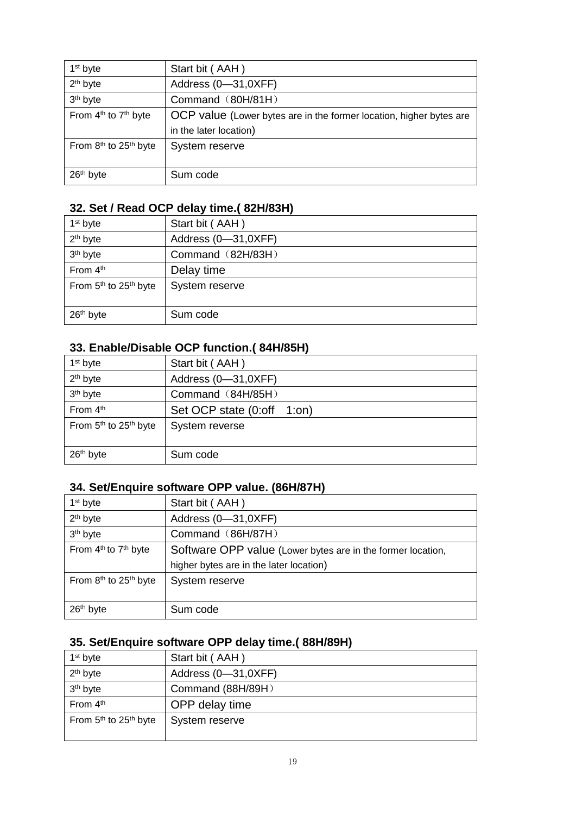| 1 <sup>st</sup> byte                          | Start bit (AAH)                                                     |  |
|-----------------------------------------------|---------------------------------------------------------------------|--|
| 2 <sup>th</sup> byte                          | Address (0-31,0XFF)                                                 |  |
| 3 <sup>th</sup> byte                          | Command (80H/81H)                                                   |  |
| From 4 <sup>th</sup> to 7 <sup>th</sup> byte  | OCP value (Lower bytes are in the former location, higher bytes are |  |
|                                               | in the later location)                                              |  |
| From 8 <sup>th</sup> to 25 <sup>th</sup> byte | System reserve                                                      |  |
|                                               |                                                                     |  |
| 26 <sup>th</sup> byte                         | Sum code                                                            |  |

#### **32. Set / Read OCP delay time.( 82H/83H)**

| 1 <sup>st</sup> byte                          | Start bit (AAH)     |  |
|-----------------------------------------------|---------------------|--|
| 2 <sup>th</sup> byte                          | Address (0-31,0XFF) |  |
| 3 <sup>th</sup> byte                          | Command (82H/83H)   |  |
| From 4th                                      | Delay time          |  |
| From 5 <sup>th</sup> to 25 <sup>th</sup> byte | System reserve      |  |
|                                               |                     |  |
| 26 <sup>th</sup> byte                         | Sum code            |  |

## **33. Enable/Disable OCP function.( 84H/85H)**

| 1 <sup>st</sup> byte                          | Start bit (AAH)            |
|-----------------------------------------------|----------------------------|
| 2 <sup>th</sup> byte                          | Address (0-31,0XFF)        |
| 3 <sup>th</sup> byte                          | Command (84H/85H)          |
| From 4th                                      | Set OCP state (0:off 1:on) |
| From 5 <sup>th</sup> to 25 <sup>th</sup> byte | System reverse             |
|                                               |                            |
| 26 <sup>th</sup> byte                         | Sum code                   |

#### **34. Set/Enquire software OPP value. (86H/87H)**

| 1 <sup>st</sup> byte                          | Start bit (AAH)                                             |
|-----------------------------------------------|-------------------------------------------------------------|
| 2 <sup>th</sup> byte                          | Address (0-31,0XFF)                                         |
| 3 <sup>th</sup> byte                          | Command (86H/87H)                                           |
| From 4 <sup>th</sup> to 7 <sup>th</sup> byte  | Software OPP value (Lower bytes are in the former location, |
|                                               | higher bytes are in the later location)                     |
| From 8 <sup>th</sup> to 25 <sup>th</sup> byte | System reserve                                              |
|                                               |                                                             |
| 26 <sup>th</sup> byte                         | Sum code                                                    |

## **35. Set/Enquire software OPP delay time.( 88H/89H)**

| 1 <sup>st</sup> byte                          | Start bit (AAH)     |
|-----------------------------------------------|---------------------|
| 2 <sup>th</sup> byte                          | Address (0-31,0XFF) |
| 3 <sup>th</sup> byte                          | Command (88H/89H)   |
| From 4th                                      | OPP delay time      |
| From 5 <sup>th</sup> to 25 <sup>th</sup> byte | System reserve      |
|                                               |                     |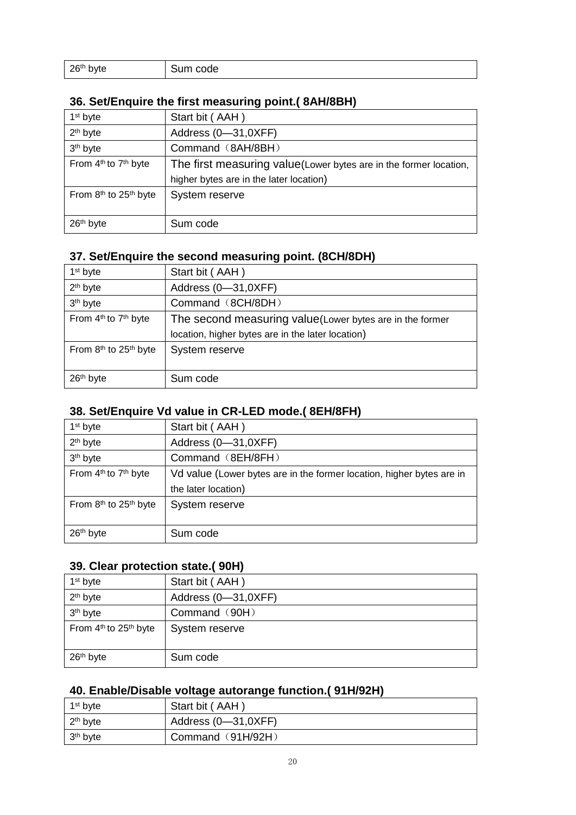| 26 <sup>th</sup> byte | Sum code |
|-----------------------|----------|
|                       |          |

#### **36. Set/Enquire the first measuring point.( 8AH/8BH)**

| 1 <sup>st</sup> byte                          | Start bit (AAH)                                                   |
|-----------------------------------------------|-------------------------------------------------------------------|
| 2 <sup>th</sup> byte                          | Address (0-31,0XFF)                                               |
| 3 <sup>th</sup> byte                          | Command (8AH/8BH)                                                 |
| From 4 <sup>th</sup> to 7 <sup>th</sup> byte  | The first measuring value(Lower bytes are in the former location, |
|                                               | higher bytes are in the later location)                           |
| From 8 <sup>th</sup> to 25 <sup>th</sup> byte | System reserve                                                    |
|                                               |                                                                   |
| 26 <sup>th</sup> byte                         | Sum code                                                          |

## **37. Set/Enquire the second measuring point. (8CH/8DH)**

| 1 <sup>st</sup> byte                          | Start bit (AAH)                                           |
|-----------------------------------------------|-----------------------------------------------------------|
| 2 <sup>th</sup> byte                          | Address (0-31,0XFF)                                       |
| 3 <sup>th</sup> byte                          | Command (8CH/8DH)                                         |
| From 4 <sup>th</sup> to 7 <sup>th</sup> byte  | The second measuring value (Lower bytes are in the former |
|                                               | location, higher bytes are in the later location)         |
| From 8 <sup>th</sup> to 25 <sup>th</sup> byte | System reserve                                            |
|                                               |                                                           |
| 26 <sup>th</sup> byte                         | Sum code                                                  |

#### **38. Set/Enquire Vd value in CR-LED mode.( 8EH/8FH)**

| Start bit (AAH)                                                       |
|-----------------------------------------------------------------------|
| Address (0-31,0XFF)                                                   |
| Command (8EH/8FH)                                                     |
| Vd value (Lower bytes are in the former location, higher bytes are in |
| the later location)                                                   |
| System reserve                                                        |
|                                                                       |
| Sum code                                                              |
|                                                                       |

#### **39. Clear protection state.( 90H)**

| 1 <sup>st</sup> byte                          | Start bit (AAH)     |
|-----------------------------------------------|---------------------|
| 2 <sup>th</sup> byte                          | Address (0-31,0XFF) |
| 3 <sup>th</sup> byte                          | Command (90H)       |
| From 4 <sup>th</sup> to 25 <sup>th</sup> byte | System reserve      |
| 26 <sup>th</sup> byte                         | Sum code            |

## **40. Enable/Disable voltage autorange function.( 91H/92H)**

| 1 <sup>st</sup> byte | Start bit (AAH)     |
|----------------------|---------------------|
| $2th$ byte           | Address (0-31,0XFF) |
| 3 <sup>th</sup> byte | Command (91H/92H)   |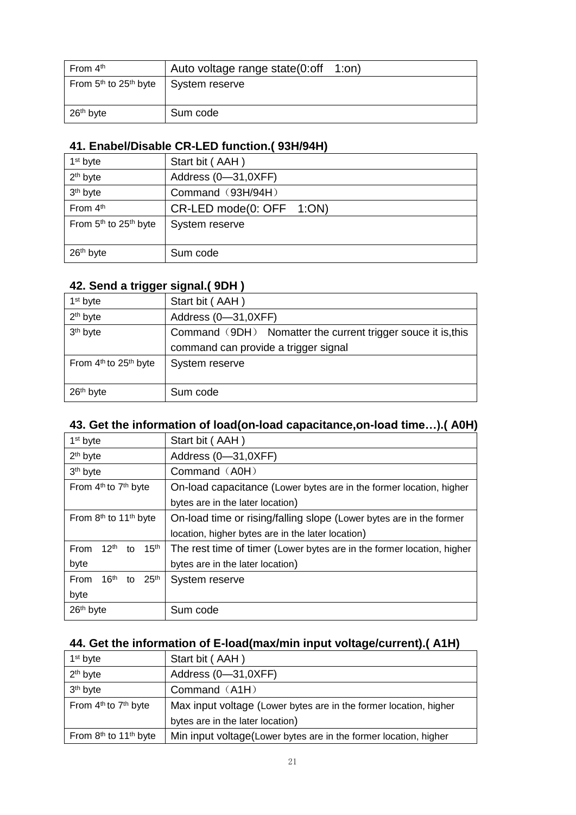| From $4th$                                    | Auto voltage range state(0:off | - 1:on) |
|-----------------------------------------------|--------------------------------|---------|
| From 5 <sup>th</sup> to 25 <sup>th</sup> byte | System reserve                 |         |
| $26th$ byte                                   | Sum code                       |         |

#### **41. Enabel/Disable CR-LED function.( 93H/94H)**

| 1 <sup>st</sup> byte                          | Start bit (AAH)          |
|-----------------------------------------------|--------------------------|
| 2 <sup>th</sup> byte                          | Address (0-31,0XFF)      |
| 3 <sup>th</sup> byte                          | Command (93H/94H)        |
| From 4th                                      | CR-LED mode(0: OFF 1:ON) |
| From 5 <sup>th</sup> to 25 <sup>th</sup> byte | System reserve           |
|                                               |                          |
| 26 <sup>th</sup> byte                         | Sum code                 |

#### **42. Send a trigger signal.( 9DH )**

| $1st$ byte                                    | Start bit (AAH)                                              |
|-----------------------------------------------|--------------------------------------------------------------|
| 2 <sup>th</sup> byte                          | Address (0-31,0XFF)                                          |
| 3 <sup>th</sup> byte                          | Command (9DH) Nomatter the current trigger souce it is, this |
|                                               | command can provide a trigger signal                         |
| From 4 <sup>th</sup> to 25 <sup>th</sup> byte | System reserve                                               |
|                                               |                                                              |
| 26 <sup>th</sup> byte                         | Sum code                                                     |

## **43. Get the information of load(on-load capacitance,on-load time…).( A0H)**

| 1 <sup>st</sup> byte                               | Start bit (AAH)                                                        |
|----------------------------------------------------|------------------------------------------------------------------------|
| $2th$ byte                                         | Address (0-31,0XFF)                                                    |
| 3 <sup>th</sup> byte                               | Command (A0H)                                                          |
| From 4 <sup>th</sup> to 7 <sup>th</sup> byte       | On-load capacitance (Lower bytes are in the former location, higher    |
|                                                    | bytes are in the later location)                                       |
| From 8 <sup>th</sup> to 11 <sup>th</sup> byte      | On-load time or rising/falling slope (Lower bytes are in the former    |
|                                                    | location, higher bytes are in the later location)                      |
| $12^{\text{th}}$<br>From<br>15 <sup>th</sup><br>to | The rest time of timer (Lower bytes are in the former location, higher |
| byte                                               | bytes are in the later location)                                       |
| From<br>16 <sup>th</sup><br>25 <sup>th</sup><br>to | System reserve                                                         |
| byte                                               |                                                                        |
| 26th byte                                          | Sum code                                                               |

#### **44. Get the information of E-load(max/min input voltage/current).( A1H)**

| 1 <sup>st</sup> byte                          | Start bit (AAH)                                                   |
|-----------------------------------------------|-------------------------------------------------------------------|
| 2 <sup>th</sup> byte                          | Address (0-31,0XFF)                                               |
| 3 <sup>th</sup> byte                          | Command (A1H)                                                     |
| From 4 <sup>th</sup> to 7 <sup>th</sup> byte  | Max input voltage (Lower bytes are in the former location, higher |
|                                               | bytes are in the later location)                                  |
| From 8 <sup>th</sup> to 11 <sup>th</sup> byte | Min input voltage(Lower bytes are in the former location, higher  |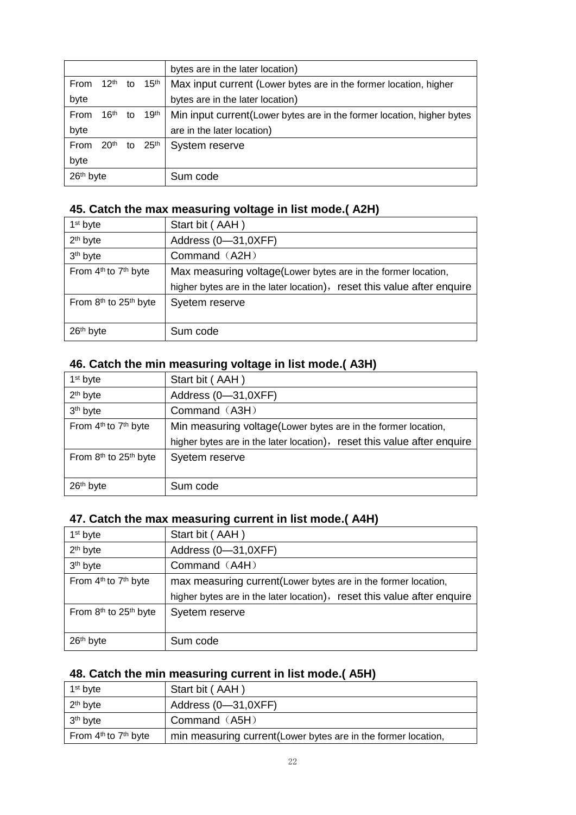|           |                  |    |                        | bytes are in the later location)                                        |
|-----------|------------------|----|------------------------|-------------------------------------------------------------------------|
| From      |                  |    | $12^{th}$ to $15^{th}$ | Max input current (Lower bytes are in the former location, higher       |
| byte      |                  |    |                        | bytes are in the later location)                                        |
| From      | 16 <sup>th</sup> | to | 19 <sup>th</sup>       | Min input current (Lower bytes are in the former location, higher bytes |
| byte      |                  |    |                        | are in the later location)                                              |
| From      | 20 <sup>th</sup> | to | 25 <sup>th</sup>       | System reserve                                                          |
| byte      |                  |    |                        |                                                                         |
| 26th byte |                  |    |                        | Sum code                                                                |

#### **45. Catch the max measuring voltage in list mode.( A2H)**

| 1 <sup>st</sup> byte                          | Start bit (AAH)                                                         |
|-----------------------------------------------|-------------------------------------------------------------------------|
| 2 <sup>th</sup> byte                          | Address (0-31,0XFF)                                                     |
| 3 <sup>th</sup> byte                          | Command (A2H)                                                           |
| From 4 <sup>th</sup> to 7 <sup>th</sup> byte  | Max measuring voltage(Lower bytes are in the former location,           |
|                                               | higher bytes are in the later location), reset this value after enquire |
| From 8 <sup>th</sup> to 25 <sup>th</sup> byte | Syetem reserve                                                          |
|                                               |                                                                         |
| 26 <sup>th</sup> byte                         | Sum code                                                                |

### **46. Catch the min measuring voltage in list mode.( A3H)**

| 1 <sup>st</sup> byte                          | Start bit (AAH)                                                         |
|-----------------------------------------------|-------------------------------------------------------------------------|
| 2 <sup>th</sup> byte                          | Address (0-31,0XFF)                                                     |
| 3 <sup>th</sup> byte                          | Command (A3H)                                                           |
| From 4 <sup>th</sup> to 7 <sup>th</sup> byte  | Min measuring voltage(Lower bytes are in the former location,           |
|                                               | higher bytes are in the later location), reset this value after enquire |
| From 8 <sup>th</sup> to 25 <sup>th</sup> byte | Syetem reserve                                                          |
|                                               |                                                                         |
| 26 <sup>th</sup> byte                         | Sum code                                                                |

## **47. Catch the max measuring current in list mode.( A4H)**

| 1 <sup>st</sup> byte                          | Start bit (AAH)                                                         |
|-----------------------------------------------|-------------------------------------------------------------------------|
| 2 <sup>th</sup> byte                          | Address (0-31,0XFF)                                                     |
| 3 <sup>th</sup> byte                          | Command (A4H)                                                           |
| From 4 <sup>th</sup> to 7 <sup>th</sup> byte  | max measuring current(Lower bytes are in the former location,           |
|                                               | higher bytes are in the later location), reset this value after enquire |
| From 8 <sup>th</sup> to 25 <sup>th</sup> byte | Syetem reserve                                                          |
|                                               |                                                                         |
| 26 <sup>th</sup> byte                         | Sum code                                                                |

## **48. Catch the min measuring current in list mode.( A5H)**

| $1st$ byte                                   | Start bit (AAH)                                                |
|----------------------------------------------|----------------------------------------------------------------|
| $2th$ byte                                   | Address (0-31,0XFF)                                            |
| $3th$ byte                                   | Command (A5H)                                                  |
| From 4 <sup>th</sup> to 7 <sup>th</sup> byte | min measuring current (Lower bytes are in the former location, |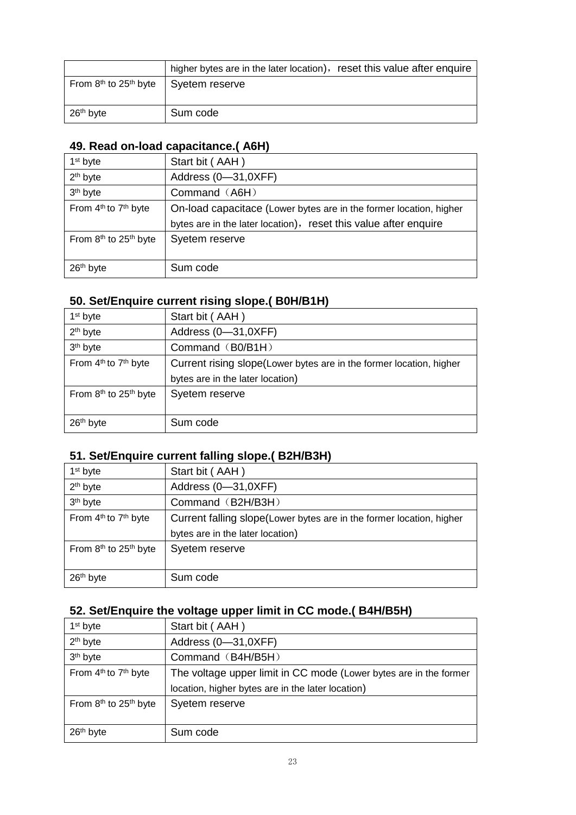|                                               | higher bytes are in the later location), reset this value after enquire |  |
|-----------------------------------------------|-------------------------------------------------------------------------|--|
| From 8 <sup>th</sup> to 25 <sup>th</sup> byte | Syetem reserve                                                          |  |
|                                               |                                                                         |  |
| $26th$ byte                                   | Sum code                                                                |  |

### **49. Read on-load capacitance.( A6H)**

| 1 <sup>st</sup> byte                          | Start bit (AAH)                                                    |
|-----------------------------------------------|--------------------------------------------------------------------|
| 2 <sup>th</sup> byte                          | Address (0-31,0XFF)                                                |
| 3 <sup>th</sup> byte                          | Command (A6H)                                                      |
| From 4 <sup>th</sup> to 7 <sup>th</sup> byte  | On-load capacitace (Lower bytes are in the former location, higher |
|                                               | bytes are in the later location), reset this value after enquire   |
| From 8 <sup>th</sup> to 25 <sup>th</sup> byte | Syetem reserve                                                     |
|                                               |                                                                    |
| 26 <sup>th</sup> byte                         | Sum code                                                           |

#### **50. Set/Enquire current rising slope.( B0H/B1H)**

| 1 <sup>st</sup> byte                          | Start bit (AAH)                                                     |
|-----------------------------------------------|---------------------------------------------------------------------|
| 2 <sup>th</sup> byte                          | Address (0-31,0XFF)                                                 |
| 3 <sup>th</sup> byte                          | Command (B0/B1H)                                                    |
| From 4 <sup>th</sup> to 7 <sup>th</sup> byte  | Current rising slope(Lower bytes are in the former location, higher |
|                                               | bytes are in the later location)                                    |
| From 8 <sup>th</sup> to 25 <sup>th</sup> byte | Syetem reserve                                                      |
|                                               |                                                                     |
| 26 <sup>th</sup> byte                         | Sum code                                                            |

## **51. Set/Enquire current falling slope.( B2H/B3H)**

| 1 <sup>st</sup> byte                          | Start bit (AAH)                                                       |
|-----------------------------------------------|-----------------------------------------------------------------------|
| 2 <sup>th</sup> byte                          | Address (0-31,0XFF)                                                   |
| 3 <sup>th</sup> byte                          | Command (B2H/B3H)                                                     |
| From 4 <sup>th</sup> to 7 <sup>th</sup> byte  | Current falling slope (Lower bytes are in the former location, higher |
|                                               | bytes are in the later location)                                      |
| From 8 <sup>th</sup> to 25 <sup>th</sup> byte | Syetem reserve                                                        |
|                                               |                                                                       |
| 26 <sup>th</sup> byte                         | Sum code                                                              |

## **52. Set/Enquire the voltage upper limit in CC mode.( B4H/B5H)**

| 1 <sup>st</sup> byte                          | Start bit (AAH)                                                   |
|-----------------------------------------------|-------------------------------------------------------------------|
| 2 <sup>th</sup> byte                          | Address (0-31,0XFF)                                               |
| 3 <sup>th</sup> byte                          | Command (B4H/B5H)                                                 |
| From 4 <sup>th</sup> to 7 <sup>th</sup> byte  | The voltage upper limit in CC mode (Lower bytes are in the former |
|                                               | location, higher bytes are in the later location)                 |
| From 8 <sup>th</sup> to 25 <sup>th</sup> byte | Syetem reserve                                                    |
|                                               |                                                                   |
| 26 <sup>th</sup> byte                         | Sum code                                                          |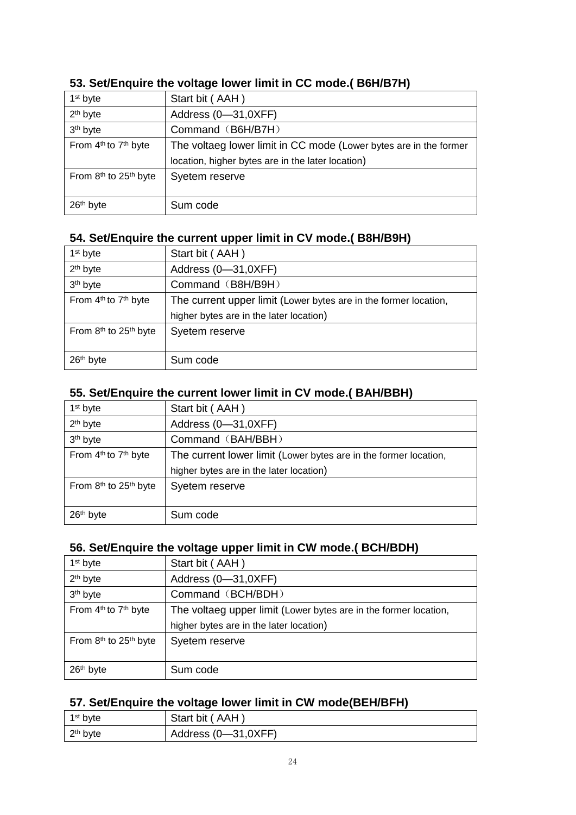| 1 <sup>st</sup> byte                          | Start bit (AAH)                                                   |
|-----------------------------------------------|-------------------------------------------------------------------|
| 2 <sup>th</sup> byte                          | Address (0-31,0XFF)                                               |
| 3 <sup>th</sup> byte                          | Command (B6H/B7H)                                                 |
| From 4 <sup>th</sup> to 7 <sup>th</sup> byte  | The voltaeg lower limit in CC mode (Lower bytes are in the former |
|                                               | location, higher bytes are in the later location)                 |
| From 8 <sup>th</sup> to 25 <sup>th</sup> byte | Syetem reserve                                                    |
|                                               |                                                                   |
| 26 <sup>th</sup> byte                         | Sum code                                                          |

#### **53. Set/Enquire the voltage lower limit in CC mode.( B6H/B7H)**

#### **54. Set/Enquire the current upper limit in CV mode.( B8H/B9H)**

| 1 <sup>st</sup> byte                          | Start bit (AAH)                                                  |
|-----------------------------------------------|------------------------------------------------------------------|
| 2 <sup>th</sup> byte                          | Address (0-31,0XFF)                                              |
| 3 <sup>th</sup> byte                          | Command (B8H/B9H)                                                |
| From 4 <sup>th</sup> to 7 <sup>th</sup> byte  | The current upper limit (Lower bytes are in the former location, |
|                                               | higher bytes are in the later location)                          |
| From 8 <sup>th</sup> to 25 <sup>th</sup> byte | Syetem reserve                                                   |
|                                               |                                                                  |
| 26 <sup>th</sup> byte                         | Sum code                                                         |

#### **55. Set/Enquire the current lower limit in CV mode.( BAH/BBH)**

| 1 <sup>st</sup> byte                          | Start bit (AAH)                                                  |
|-----------------------------------------------|------------------------------------------------------------------|
| 2 <sup>th</sup> byte                          | Address (0-31,0XFF)                                              |
| 3 <sup>th</sup> byte                          | Command (BAH/BBH)                                                |
| From 4 <sup>th</sup> to 7 <sup>th</sup> byte  | The current lower limit (Lower bytes are in the former location, |
|                                               | higher bytes are in the later location)                          |
| From 8 <sup>th</sup> to 25 <sup>th</sup> byte | Syetem reserve                                                   |
|                                               |                                                                  |
| 26 <sup>th</sup> byte                         | Sum code                                                         |

### **56. Set/Enquire the voltage upper limit in CW mode.( BCH/BDH)**

| 1 <sup>st</sup> byte                          | Start bit (AAH)                                                  |
|-----------------------------------------------|------------------------------------------------------------------|
| 2 <sup>th</sup> byte                          | Address (0-31,0XFF)                                              |
| 3 <sup>th</sup> byte                          | Command (BCH/BDH)                                                |
| From 4 <sup>th</sup> to 7 <sup>th</sup> byte  | The voltaeg upper limit (Lower bytes are in the former location, |
|                                               | higher bytes are in the later location)                          |
| From 8 <sup>th</sup> to 25 <sup>th</sup> byte | Syetem reserve                                                   |
|                                               |                                                                  |
| 26 <sup>th</sup> byte                         | Sum code                                                         |

#### **57. Set/Enquire the voltage lower limit in CW mode(BEH/BFH)**

| 1 <sup>st</sup> byte | Start bit (AAH)     |
|----------------------|---------------------|
| $2th$ byte           | Address (0—31,0XFF) |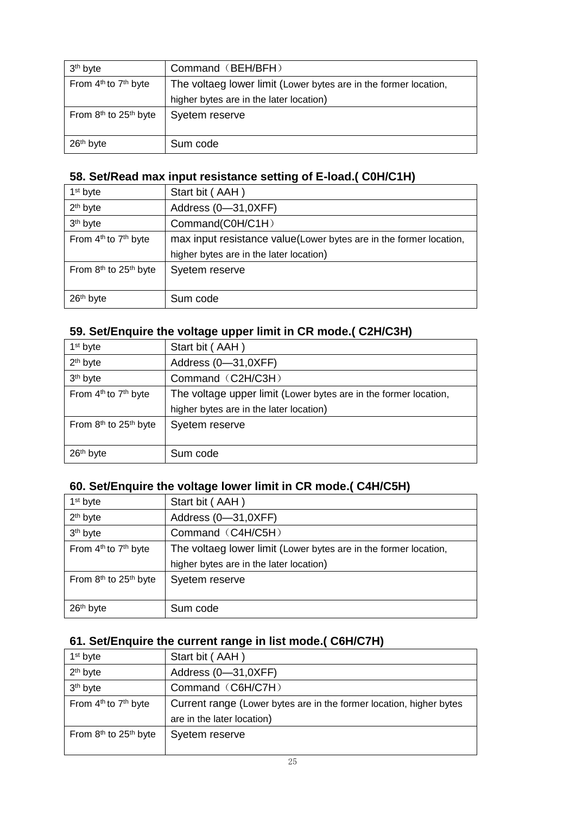| 3 <sup>th</sup> byte                          | Command (BEH/BFH)                                                |
|-----------------------------------------------|------------------------------------------------------------------|
| From 4 <sup>th</sup> to 7 <sup>th</sup> byte  | The voltaeg lower limit (Lower bytes are in the former location, |
|                                               | higher bytes are in the later location)                          |
| From 8 <sup>th</sup> to 25 <sup>th</sup> byte | Syetem reserve                                                   |
|                                               |                                                                  |
| 26 <sup>th</sup> byte                         | Sum code                                                         |

### **58. Set/Read max input resistance setting of E-load.( C0H/C1H)**

| 1 <sup>st</sup> byte                          | Start bit (AAH)                                                    |
|-----------------------------------------------|--------------------------------------------------------------------|
| 2 <sup>th</sup> byte                          | Address (0-31,0XFF)                                                |
| 3 <sup>th</sup> byte                          | Command(C0H/C1H)                                                   |
| From 4 <sup>th</sup> to 7 <sup>th</sup> byte  | max input resistance value(Lower bytes are in the former location, |
|                                               | higher bytes are in the later location)                            |
| From 8 <sup>th</sup> to 25 <sup>th</sup> byte | Syetem reserve                                                     |
|                                               |                                                                    |
| 26 <sup>th</sup> byte                         | Sum code                                                           |

## **59. Set/Enquire the voltage upper limit in CR mode.( C2H/C3H)**

| 1 <sup>st</sup> byte                          | Start bit (AAH)                                                  |
|-----------------------------------------------|------------------------------------------------------------------|
| $2th$ byte                                    | Address (0-31,0XFF)                                              |
| 3 <sup>th</sup> byte                          | Command (C2H/C3H)                                                |
| From 4 <sup>th</sup> to 7 <sup>th</sup> byte  | The voltage upper limit (Lower bytes are in the former location, |
|                                               | higher bytes are in the later location)                          |
| From 8 <sup>th</sup> to 25 <sup>th</sup> byte | Syetem reserve                                                   |
|                                               |                                                                  |
| 26 <sup>th</sup> byte                         | Sum code                                                         |
|                                               |                                                                  |

#### **60. Set/Enquire the voltage lower limit in CR mode.( C4H/C5H)**

| 1 <sup>st</sup> byte                          | Start bit (AAH)                                                  |
|-----------------------------------------------|------------------------------------------------------------------|
| 2 <sup>th</sup> byte                          | Address (0-31,0XFF)                                              |
| 3 <sup>th</sup> byte                          | Command (C4H/C5H)                                                |
| From 4 <sup>th</sup> to 7 <sup>th</sup> byte  | The voltaeg lower limit (Lower bytes are in the former location, |
|                                               | higher bytes are in the later location)                          |
| From 8 <sup>th</sup> to 25 <sup>th</sup> byte | Syetem reserve                                                   |
|                                               |                                                                  |
| 26 <sup>th</sup> byte                         | Sum code                                                         |

#### **61. Set/Enquire the current range in list mode.( C6H/C7H)**

| 1 <sup>st</sup> byte                          | Start bit (AAH)                                                     |
|-----------------------------------------------|---------------------------------------------------------------------|
| 2 <sup>th</sup> byte                          | Address (0-31,0XFF)                                                 |
| 3 <sup>th</sup> byte                          | Command (C6H/C7H)                                                   |
| From 4 <sup>th</sup> to 7 <sup>th</sup> byte  | Current range (Lower bytes are in the former location, higher bytes |
|                                               | are in the later location)                                          |
| From 8 <sup>th</sup> to 25 <sup>th</sup> byte | Syetem reserve                                                      |
|                                               |                                                                     |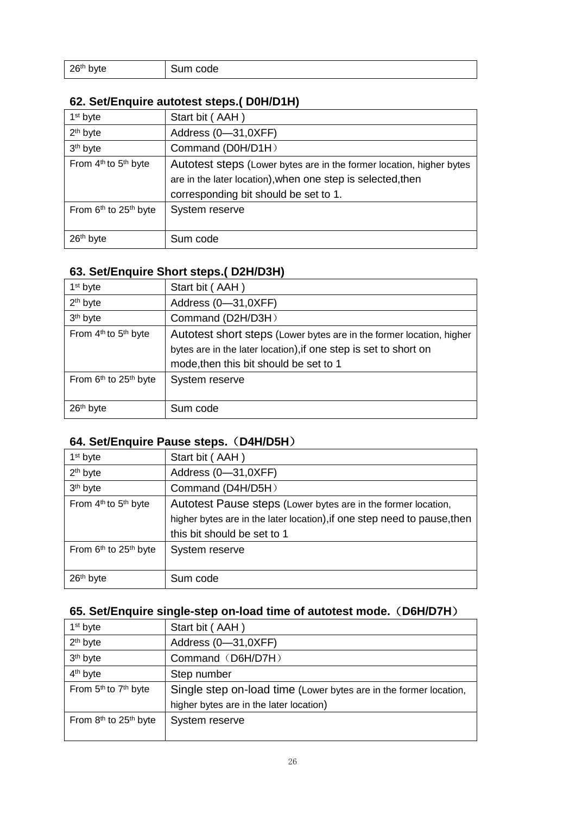| 26 <sup>th</sup> byte | Sum code |
|-----------------------|----------|
|                       |          |

#### **62. Set/Enquire autotest steps.( D0H/D1H)**

| 1 <sup>st</sup> byte                          | Start bit (AAH)                                                      |
|-----------------------------------------------|----------------------------------------------------------------------|
| $2th$ byte                                    | Address (0-31,0XFF)                                                  |
| 3 <sup>th</sup> byte                          | Command (D0H/D1H)                                                    |
| From 4 <sup>th</sup> to 5 <sup>th</sup> byte  | Autotest steps (Lower bytes are in the former location, higher bytes |
|                                               | are in the later location), when one step is selected, then          |
|                                               | corresponding bit should be set to 1.                                |
| From 6 <sup>th</sup> to 25 <sup>th</sup> byte | System reserve                                                       |
|                                               |                                                                      |
| 26 <sup>th</sup> byte                         | Sum code                                                             |

#### **63. Set/Enquire Short steps.( D2H/D3H)**

| 1 <sup>st</sup> byte                          | Start bit (AAH)                                                      |
|-----------------------------------------------|----------------------------------------------------------------------|
| 2 <sup>th</sup> byte                          | Address (0-31,0XFF)                                                  |
| 3 <sup>th</sup> byte                          | Command (D2H/D3H)                                                    |
| From 4 <sup>th</sup> to 5 <sup>th</sup> byte  | Autotest short steps (Lower bytes are in the former location, higher |
|                                               | bytes are in the later location), if one step is set to short on     |
|                                               | mode, then this bit should be set to 1                               |
| From 6 <sup>th</sup> to 25 <sup>th</sup> byte | System reserve                                                       |
|                                               |                                                                      |
| 26 <sup>th</sup> byte                         | Sum code                                                             |

#### **64. Set/Enquire Pause steps.**(**D4H/D5H**)

| 1 <sup>st</sup> byte                          | Start bit (AAH)                                                          |
|-----------------------------------------------|--------------------------------------------------------------------------|
| $2th$ byte                                    | Address (0-31,0XFF)                                                      |
| 3 <sup>th</sup> byte                          | Command (D4H/D5H)                                                        |
| From 4 <sup>th</sup> to 5 <sup>th</sup> byte  | Autotest Pause steps (Lower bytes are in the former location,            |
|                                               | higher bytes are in the later location), if one step need to pause, then |
|                                               | this bit should be set to 1                                              |
| From 6 <sup>th</sup> to 25 <sup>th</sup> byte | System reserve                                                           |
|                                               |                                                                          |
| 26 <sup>th</sup> byte                         | Sum code                                                                 |

#### **65. Set/Enquire single-step on-load time of autotest mode.**(**D6H/D7H**)

| 1 <sup>st</sup> byte                          | Start bit (AAH)                                                   |
|-----------------------------------------------|-------------------------------------------------------------------|
| 2 <sup>th</sup> byte                          | Address (0-31,0XFF)                                               |
| 3 <sup>th</sup> byte                          | Command (D6H/D7H)                                                 |
| 4 <sup>th</sup> byte                          | Step number                                                       |
| From 5 <sup>th</sup> to 7 <sup>th</sup> byte  | Single step on-load time (Lower bytes are in the former location, |
|                                               | higher bytes are in the later location)                           |
| From 8 <sup>th</sup> to 25 <sup>th</sup> byte | System reserve                                                    |
|                                               |                                                                   |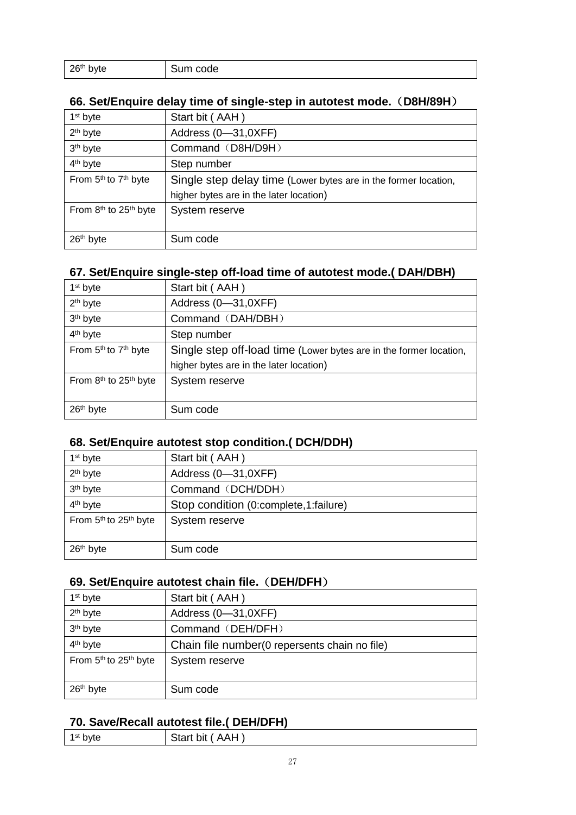| 26 <sup>th</sup> byte | code<br>-ч. |
|-----------------------|-------------|
|                       |             |

#### **66. Set/Enquire delay time of single-step in autotest mode.**(**D8H/89H**)

| 1 <sup>st</sup> byte                          | Start bit (AAH)                                                 |
|-----------------------------------------------|-----------------------------------------------------------------|
| 2 <sup>th</sup> byte                          | Address (0-31,0XFF)                                             |
| 3 <sup>th</sup> byte                          | Command (D8H/D9H)                                               |
| 4 <sup>th</sup> byte                          | Step number                                                     |
| From 5 <sup>th</sup> to 7 <sup>th</sup> byte  | Single step delay time (Lower bytes are in the former location, |
|                                               | higher bytes are in the later location)                         |
| From 8 <sup>th</sup> to 25 <sup>th</sup> byte | System reserve                                                  |
|                                               |                                                                 |
| 26 <sup>th</sup> byte                         | Sum code                                                        |

#### **67. Set/Enquire single-step off-load time of autotest mode.( DAH/DBH)**

| 1 <sup>st</sup> byte                          | Start bit (AAH)                                                    |
|-----------------------------------------------|--------------------------------------------------------------------|
| 2 <sup>th</sup> byte                          | Address (0-31,0XFF)                                                |
| 3 <sup>th</sup> byte                          | Command (DAH/DBH)                                                  |
| 4 <sup>th</sup> byte                          | Step number                                                        |
| From 5 <sup>th</sup> to 7 <sup>th</sup> byte  | Single step off-load time (Lower bytes are in the former location, |
|                                               | higher bytes are in the later location)                            |
| From 8 <sup>th</sup> to 25 <sup>th</sup> byte | System reserve                                                     |
|                                               |                                                                    |
| 26 <sup>th</sup> byte                         | Sum code                                                           |

#### **68. Set/Enquire autotest stop condition.( DCH/DDH)**

| 1 <sup>st</sup> byte  | Start bit (AAH)                         |
|-----------------------|-----------------------------------------|
| 2 <sup>th</sup> byte  | Address (0-31,0XFF)                     |
| 3 <sup>th</sup> byte  | Command (DCH/DDH)                       |
| 4 <sup>th</sup> byte  | Stop condition (0:complete, 1: failure) |
| From 5th to 25th byte | System reserve                          |
|                       |                                         |
| 26 <sup>th</sup> byte | Sum code                                |

#### **69. Set/Enquire autotest chain file.**(**DEH/DFH**)

| 1 <sup>st</sup> byte                          | Start bit (AAH)                                |
|-----------------------------------------------|------------------------------------------------|
| $2th$ byte                                    | Address (0-31,0XFF)                            |
| 3 <sup>th</sup> byte                          | Command (DEH/DFH)                              |
| 4 <sup>th</sup> byte                          | Chain file number (0 repersents chain no file) |
| From 5 <sup>th</sup> to 25 <sup>th</sup> byte | System reserve                                 |
|                                               |                                                |
| 26 <sup>th</sup> byte                         | Sum code                                       |

#### **70. Save/Recall autotest file.( DEH/DFH)**

| 1st byte | Start bit<br>AAH |  |
|----------|------------------|--|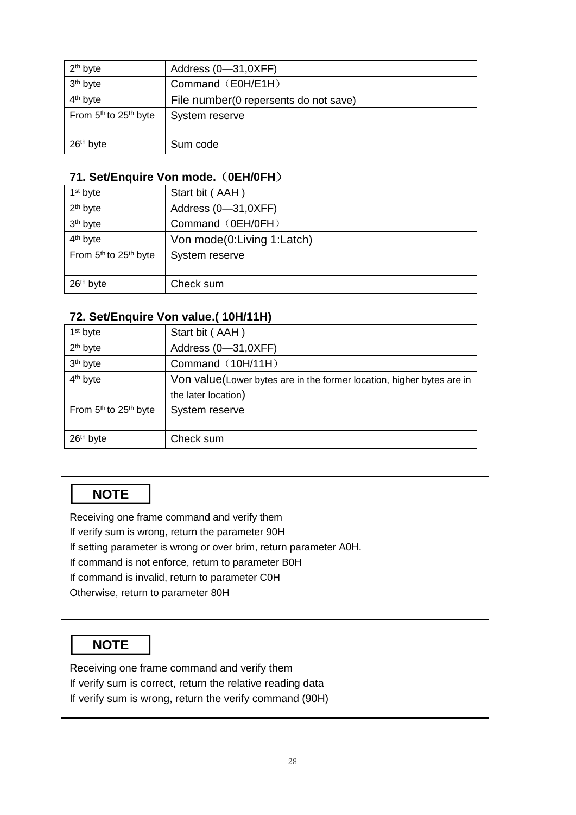| $2th$ byte                                    | Address (0-31,0XFF)                    |
|-----------------------------------------------|----------------------------------------|
| 3 <sup>th</sup> byte                          | Command (E0H/E1H)                      |
| 4 <sup>th</sup> byte                          | File number (0 repersents do not save) |
| From 5 <sup>th</sup> to 25 <sup>th</sup> byte | System reserve                         |
|                                               |                                        |
| 26 <sup>th</sup> byte                         | Sum code                               |

#### **71. Set/Enquire Von mode.**(**0EH/0FH**)

| 1 <sup>st</sup> byte  | Start bit (AAH)            |
|-----------------------|----------------------------|
| 2 <sup>th</sup> byte  | Address (0-31,0XFF)        |
| 3 <sup>th</sup> byte  | Command (0EH/0FH)          |
| 4 <sup>th</sup> byte  | Von mode(0:Living 1:Latch) |
| From 5th to 25th byte | System reserve             |
|                       |                            |
| 26 <sup>th</sup> byte | Check sum                  |

#### **72. Set/Enquire Von value.( 10H/11H)**

| 1 <sup>st</sup> byte                          | Start bit (AAH)                                                       |
|-----------------------------------------------|-----------------------------------------------------------------------|
| 2 <sup>th</sup> byte                          | Address (0-31,0XFF)                                                   |
| 3 <sup>th</sup> byte                          | Command (10H/11H)                                                     |
| 4 <sup>th</sup> byte                          | Von value(Lower bytes are in the former location, higher bytes are in |
|                                               | the later location)                                                   |
| From 5 <sup>th</sup> to 25 <sup>th</sup> byte | System reserve                                                        |
|                                               |                                                                       |
| 26 <sup>th</sup> byte                         | Check sum                                                             |

## **NOTE**

Receiving one frame command and verify them If verify sum is wrong, return the parameter 90H If setting parameter is wrong or over brim, return parameter A0H. If command is not enforce, return to parameter B0H If command is invalid, return to parameter C0H Otherwise, return to parameter 80H

## **NOTE**

Receiving one frame command and verify them If verify sum is correct, return the relative reading data If verify sum is wrong, return the verify command (90H)